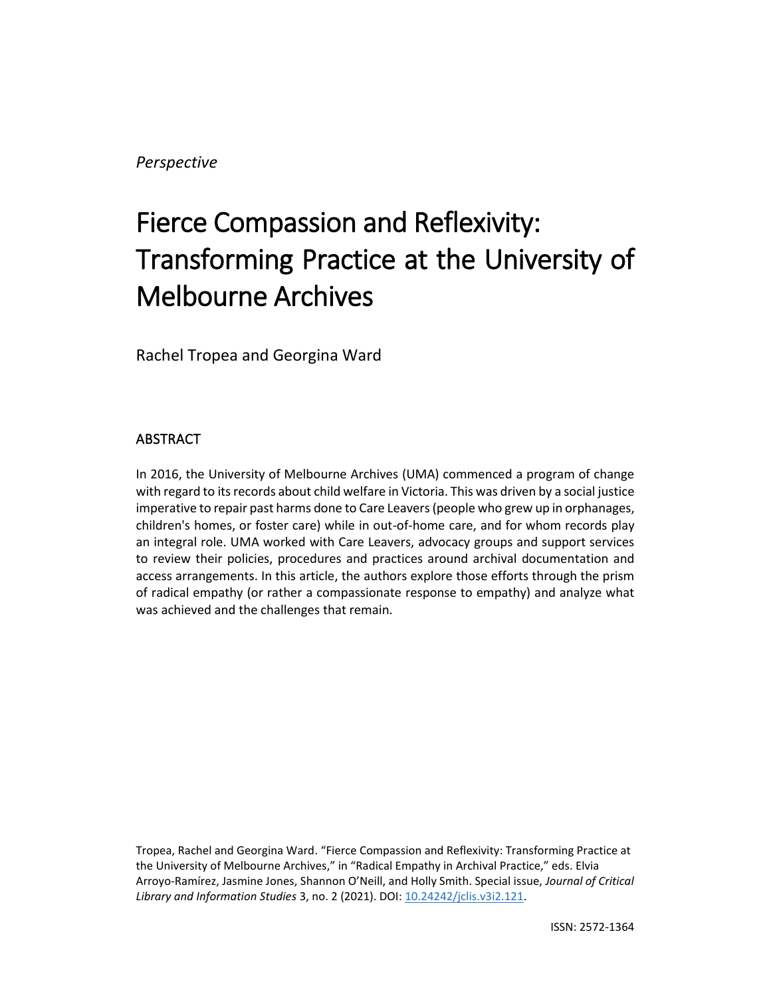*Perspective*

# Fierce Compassion and Reflexivity: Transforming Practice at the University of Melbourne Archives

Rachel Tropea and Georgina Ward

## ABSTRACT

In 2016, the University of Melbourne Archives (UMA) commenced a program of change with regard to its records about child welfare in Victoria. This was driven by a social justice imperative to repair past harms done to Care Leavers (people who grew up in orphanages, children's homes, or foster care) while in out-of-home care, and for whom records play an integral role. UMA worked with Care Leavers, advocacy groups and support services to review their policies, procedures and practices around archival documentation and access arrangements. In this article, the authors explore those efforts through the prism of radical empathy (or rather a compassionate response to empathy) and analyze what was achieved and the challenges that remain.

Tropea, Rachel and Georgina Ward. "Fierce Compassion and Reflexivity: Transforming Practice at the University of Melbourne Archives," in "Radical Empathy in Archival Practice," eds. Elvia Arroyo-Ramírez, Jasmine Jones, Shannon O'Neill, and Holly Smith. Special issue, *Journal of Critical Library and Information Studies* 3, no. 2 (2021). DOI: [10.24242/jclis.v3i2.121.](https://doi.org/10.24242/jclis.v3i2.121)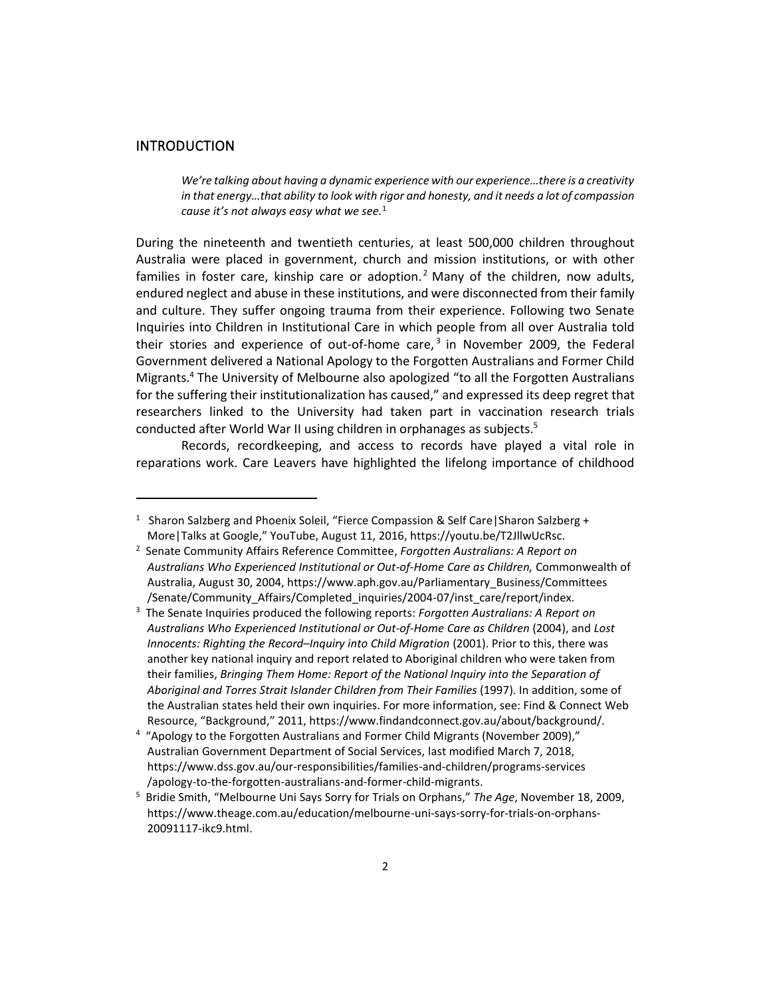#### INTRODUCTION

*We're talking about having a dynamic experience with our experience…there is a creativity in that energy…that ability to look with rigor and honesty, and it needs a lot of compassion cause it's not always easy what we see.*<sup>1</sup>

During the nineteenth and twentieth centuries, at least 500,000 children throughout Australia were placed in government, church and mission institutions, or with other families in foster care, kinship care or adoption.<sup>2</sup> Many of the children, now adults, endured neglect and abuse in these institutions, and were disconnected from their family and culture. They suffer ongoing trauma from their experience. Following two Senate Inquiries into Children in Institutional Care in which people from all over Australia told their stories and experience of out-of-home care,<sup>3</sup> in November 2009, the Federal Government delivered a National Apology to the Forgotten Australians and Former Child Migrants. <sup>4</sup> The University of Melbourne also apologized "to all the Forgotten Australians for the suffering their institutionalization has caused," and expressed its deep regret that researchers linked to the University had taken part in vaccination research trials conducted after World War II using children in orphanages as subjects.<sup>5</sup>

Records, recordkeeping, and access to records have played a vital role in reparations work. Care Leavers have highlighted the lifelong importance of childhood

<sup>&</sup>lt;sup>1</sup> Sharon Salzberg and Phoenix Soleil, "Fierce Compassion & Self Care | Sharon Salzberg + More|Talks at Google," YouTube, August 11, 2016, https://youtu.be/T2JllwUcRsc.

<sup>2</sup> Senate Community Affairs Reference Committee, *Forgotten Australians: A Report on Australians Who Experienced Institutional or Out-of-Home Care as Children,* Commonwealth of Australia, August 30, 2004, https://www.aph.gov.au/Parliamentary\_Business/Committees /Senate/Community\_Affairs/Completed\_inquiries/2004-07/inst\_care/report/index.

<sup>3</sup> The Senate Inquiries produced the following reports: *Forgotten Australians: A Report on Australians Who Experienced Institutional or Out-of-Home Care as Children* (2004), and *Lost Innocents: Righting the Record–Inquiry into Child Migration* (2001). Prior to this, there was another key national inquiry and report related to Aboriginal children who were taken from their families, *Bringing Them Home: Report of the National Inquiry into the Separation of Aboriginal and Torres Strait Islander Children from Their Families* (1997). In addition, some of the Australian states held their own inquiries. For more information, see: Find & Connect Web Resource, "Background," 2011, https://www.findandconnect.gov.au/about/background/.

<sup>&</sup>lt;sup>4</sup> "Apology to the Forgotten Australians and Former Child Migrants (November 2009)," Australian Government Department of Social Services, last modified March 7, 2018, https://www.dss.gov.au/our-responsibilities/families-and-children/programs-services /apology-to-the-forgotten-australians-and-former-child-migrants.

<sup>5</sup> Bridie Smith, "Melbourne Uni Says Sorry for Trials on Orphans," *The Age*, November 18, 2009, https://www.theage.com.au/education/melbourne-uni-says-sorry-for-trials-on-orphans-20091117-ikc9.html.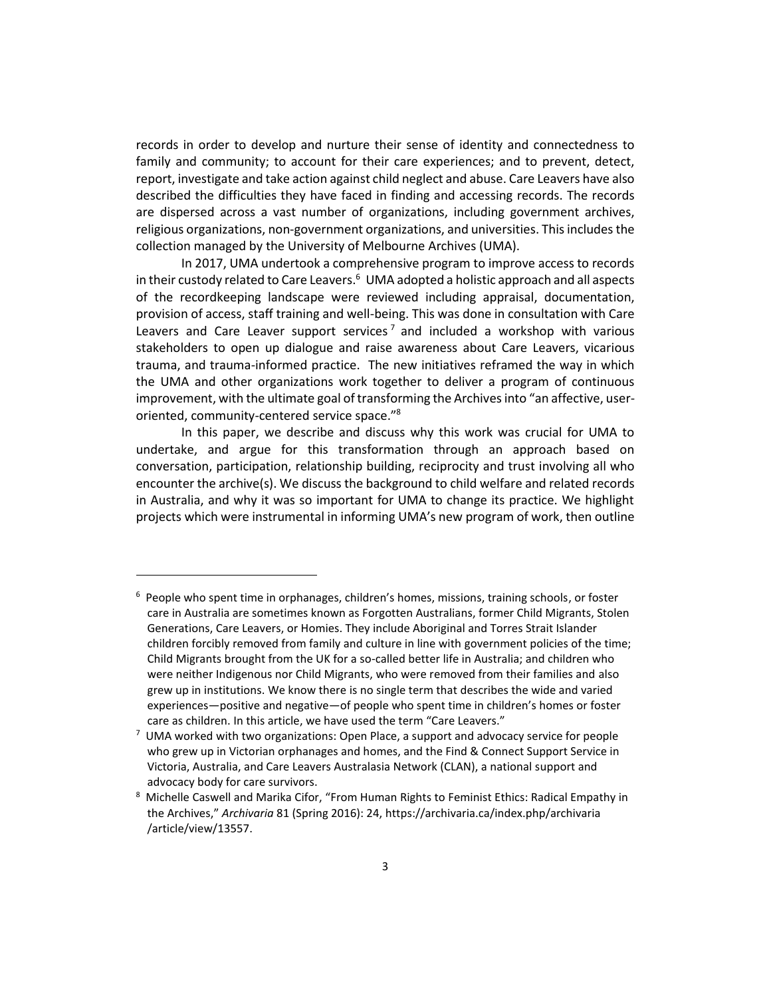records in order to develop and nurture their sense of identity and connectedness to family and community; to account for their care experiences; and to prevent, detect, report, investigate and take action against child neglect and abuse. Care Leavers have also described the difficulties they have faced in finding and accessing records. The records are dispersed across a vast number of organizations, including government archives, religious organizations, non-government organizations, and universities. This includes the collection managed by the University of Melbourne Archives (UMA).

In 2017, UMA undertook a comprehensive program to improve access to records in their custody related to Care Leavers. 6 UMA adopted a holistic approach and all aspects of the recordkeeping landscape were reviewed including appraisal, documentation, provision of access, staff training and well-being. This was done in consultation with Care Leavers and Care Leaver support services<sup>7</sup> and included a workshop with various stakeholders to open up dialogue and raise awareness about Care Leavers, vicarious trauma, and trauma-informed practice. The new initiatives reframed the way in which the UMA and other organizations work together to deliver a program of continuous improvement, with the ultimate goal of transforming the Archives into "an affective, useroriented, community-centered service space."<sup>8</sup>

In this paper, we describe and discuss why this work was crucial for UMA to undertake, and argue for this transformation through an approach based on conversation, participation, relationship building, reciprocity and trust involving all who encounter the archive(s). We discuss the background to child welfare and related records in Australia, and why it was so important for UMA to change its practice. We highlight projects which were instrumental in informing UMA's new program of work, then outline

 $6$  People who spent time in orphanages, children's homes, missions, training schools, or foster care in Australia are sometimes known as Forgotten Australians, former Child Migrants, Stolen Generations, Care Leavers, or Homies. They include Aboriginal and Torres Strait Islander children forcibly removed from family and culture in line with government policies of the time; Child Migrants brought from the UK for a so-called better life in Australia; and children who were neither Indigenous nor Child Migrants, who were removed from their families and also grew up in institutions. We know there is no single term that describes the wide and varied experiences—positive and negative—of people who spent time in children's homes or foster care as children. In this article, we have used the term "Care Leavers."

<sup>7</sup> UMA worked with two organizations: Open Place, a support and advocacy service for people who grew up in Victorian orphanages and homes, and the Find & Connect Support Service in Victoria, Australia, and Care Leavers Australasia Network (CLAN), a national support and advocacy body for care survivors.

<sup>&</sup>lt;sup>8</sup> Michelle Caswell and Marika Cifor, "From Human Rights to Feminist Ethics: Radical Empathy in the Archives," *Archivaria* 81 (Spring 2016): 24, https://archivaria.ca/index.php/archivaria /article/view/13557.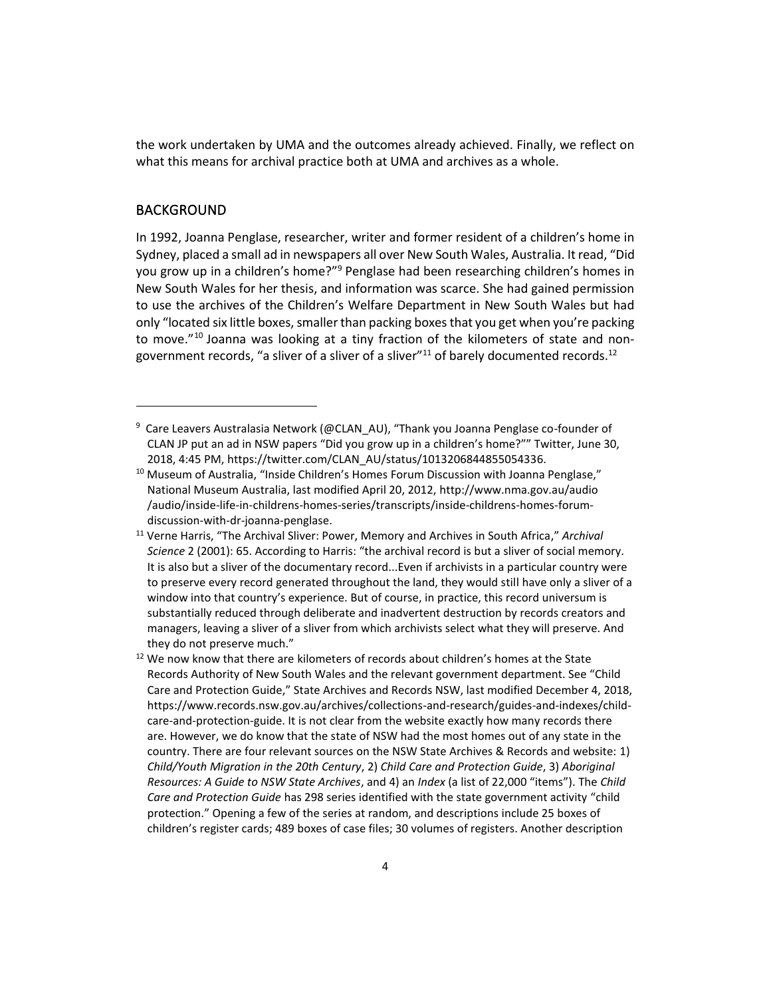the work undertaken by UMA and the outcomes already achieved. Finally, we reflect on what this means for archival practice both at UMA and archives as a whole.

#### BACKGROUND

In 1992, Joanna Penglase, researcher, writer and former resident of a children's home in Sydney, placed a small ad in newspapers all over New South Wales, Australia. It read, "Did you grow up in a children's home?"<sup>9</sup> Penglase had been researching children's homes in New South Wales for her thesis, and information was scarce. She had gained permission to use the archives of the Children's Welfare Department in New South Wales but had only "located six little boxes, smaller than packing boxes that you get when you're packing to move." <sup>10</sup> Joanna was looking at a tiny fraction of the kilometers of state and nongovernment records, "a sliver of a sliver of a sliver" $11$  of barely documented records.<sup>12</sup>

<sup>&</sup>lt;sup>9</sup> Care Leavers Australasia Network (@CLAN\_AU), "Thank you Joanna Penglase co-founder of CLAN JP put an ad in NSW papers "Did you grow up in a children's home?"" Twitter, June 30, 2018, 4:45 PM[, https://twitter.com/CLAN\\_AU/status/1013206844855054336](https://twitter.com/CLAN_AU/status/1013206844855054336).

 $10$  Museum of Australia, "Inside Children's Homes Forum Discussion with Joanna Penglase," National Museum Australia, last modified April 20, 2012, http://www.nma.gov.au/audio /audio/inside-life-in-childrens-homes-series/transcripts/inside-childrens-homes-forumdiscussion-with-dr-joanna-penglase.

<sup>11</sup> Verne Harris, "The Archival Sliver: Power, Memory and Archives in South Africa," *Archival Science* 2 (2001): 65. According to Harris: "the archival record is but a sliver of social memory. It is also but a sliver of the documentary record...Even if archivists in a particular country were to preserve every record generated throughout the land, they would still have only a sliver of a window into that country's experience. But of course, in practice, this record universum is substantially reduced through deliberate and inadvertent destruction by records creators and managers, leaving a sliver of a sliver from which archivists select what they will preserve. And they do not preserve much."

 $12$  We now know that there are kilometers of records about children's homes at the State Records Authority of New South Wales and the relevant government department. See "Child Care and Protection Guide," State Archives and Records NSW, last modified December 4, 2018, https://www.records.nsw.gov.au/archives/collections-and-research/guides-and-indexes/childcare-and-protection-guide. It is not clear from the website exactly how many records there are. However, we do know that the state of NSW had the most homes out of any state in the country. There are four relevant sources on the NSW State Archives & Records and website: 1) *Child/Youth Migration in the 20th Century*, 2) *Child Care and Protection Guide*, 3) *Aboriginal Resources: A Guide to NSW State Archives*, and 4) an *Index* (a list of 22,000 "items"). The *Child Care and Protection Guide* has 298 series identified with the state government activity "child protection." Opening a few of the series at random, and descriptions include 25 boxes of children's register cards; 489 boxes of case files; 30 volumes of registers. Another description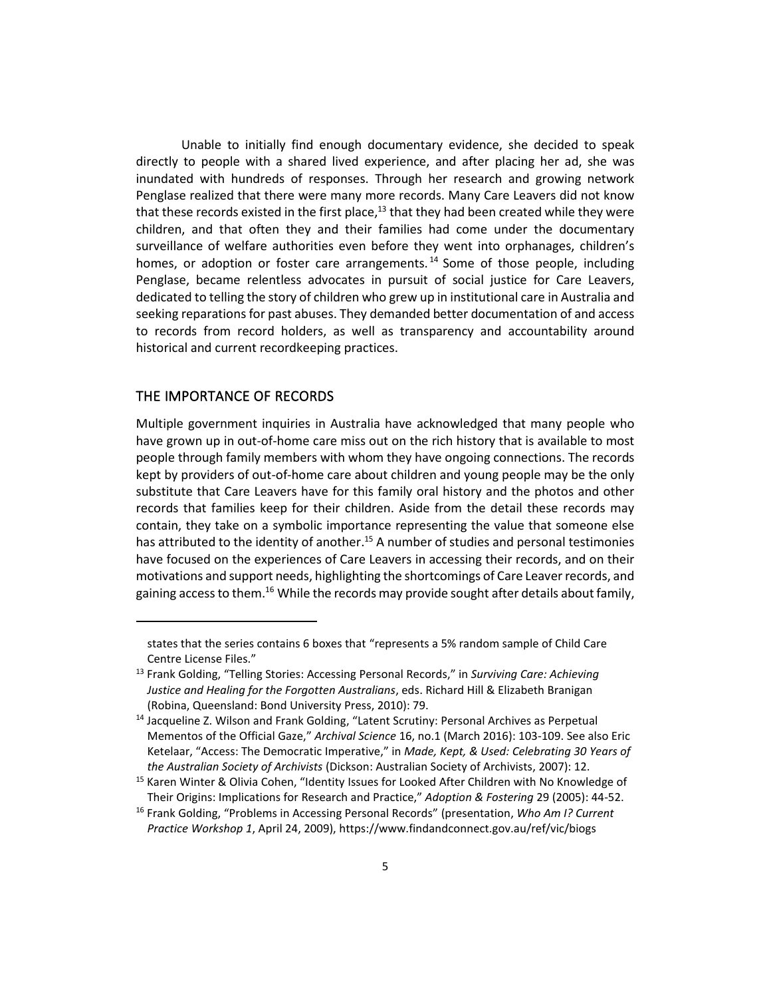Unable to initially find enough documentary evidence, she decided to speak directly to people with a shared lived experience, and after placing her ad, she was inundated with hundreds of responses. Through her research and growing network Penglase realized that there were many more records. Many Care Leavers did not know that these records existed in the first place,<sup>13</sup> that they had been created while they were children, and that often they and their families had come under the documentary surveillance of welfare authorities even before they went into orphanages, children's homes, or adoption or foster care arrangements.<sup>14</sup> Some of those people, including Penglase, became relentless advocates in pursuit of social justice for Care Leavers, dedicated to telling the story of children who grew up in institutional care in Australia and seeking reparations for past abuses. They demanded better documentation of and access to records from record holders, as well as transparency and accountability around historical and current recordkeeping practices.

### THE IMPORTANCE OF RECORDS

Multiple government inquiries in Australia have acknowledged that many people who have grown up in out-of-home care miss out on the rich history that is available to most people through family members with whom they have ongoing connections. The records kept by providers of out-of-home care about children and young people may be the only substitute that Care Leavers have for this family oral history and the photos and other records that families keep for their children. Aside from the detail these records may contain, they take on a symbolic importance representing the value that someone else has attributed to the identity of another.<sup>15</sup> A number of studies and personal testimonies have focused on the experiences of Care Leavers in accessing their records, and on their motivations and support needs, highlighting the shortcomings of Care Leaver records, and gaining access to them.<sup>16</sup> While the records may provide sought after details about family,

states that the series contains 6 boxes that "represents a 5% random sample of Child Care Centre License Files."

<sup>13</sup> Frank Golding, "Telling Stories: Accessing Personal Records," in *Surviving Care: Achieving Justice and Healing for the Forgotten Australians*, eds. Richard Hill & Elizabeth Branigan (Robina, Queensland: Bond University Press, 2010): 79.

<sup>&</sup>lt;sup>14</sup> Jacqueline Z. Wilson and Frank Golding, "Latent Scrutiny: Personal Archives as Perpetual Mementos of the Official Gaze," *Archival Science* 16, no.1 (March 2016): 103-109. See also Eric Ketelaar, "Access: The Democratic Imperative," in *Made, Kept, & Used: Celebrating 30 Years of the Australian Society of Archivists* (Dickson: Australian Society of Archivists, 2007): 12.

<sup>&</sup>lt;sup>15</sup> Karen Winter & Olivia Cohen, "Identity Issues for Looked After Children with No Knowledge of Their Origins: Implications for Research and Practice," *Adoption & Fostering* 29 (2005): 44-52.

<sup>16</sup> Frank Golding, "Problems in Accessing Personal Records" (presentation, *Who Am I? Current Practice Workshop 1*, April 24, 2009), https://www.findandconnect.gov.au/ref/vic/biogs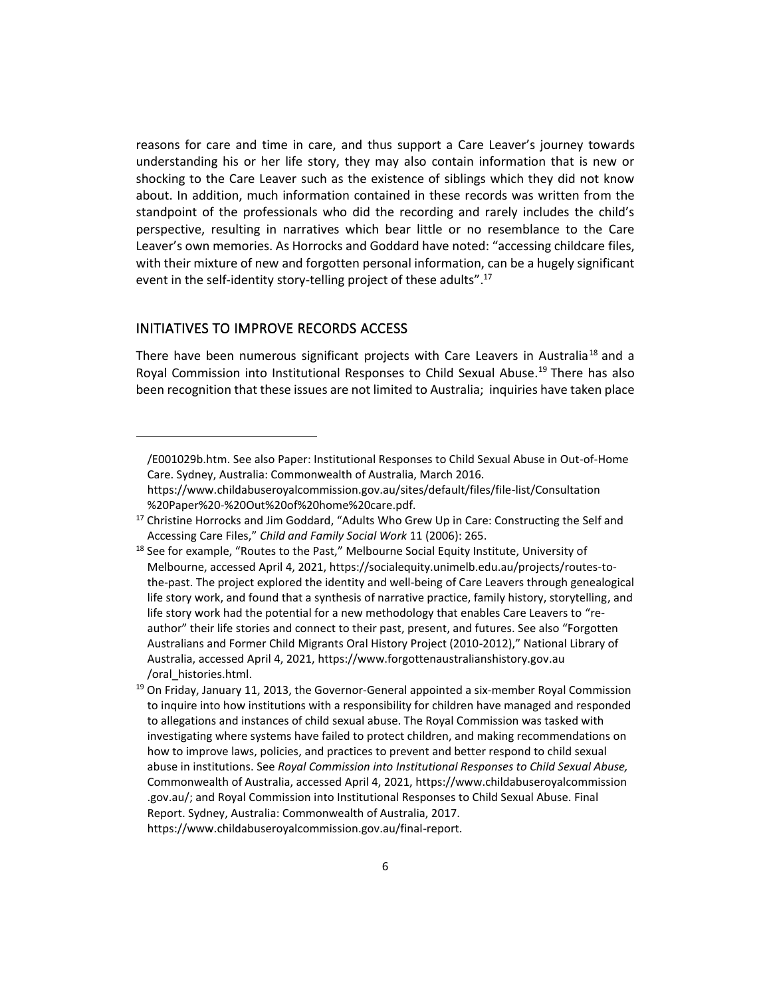reasons for care and time in care, and thus support a Care Leaver's journey towards understanding his or her life story, they may also contain information that is new or shocking to the Care Leaver such as the existence of siblings which they did not know about. In addition, much information contained in these records was written from the standpoint of the professionals who did the recording and rarely includes the child's perspective, resulting in narratives which bear little or no resemblance to the Care Leaver's own memories. As Horrocks and Goddard have noted: "accessing childcare files, with their mixture of new and forgotten personal information, can be a hugely significant event in the self-identity story-telling project of these adults".<sup>17</sup>

## INITIATIVES TO IMPROVE RECORDS ACCESS

There have been numerous significant projects with Care Leavers in Australia<sup>18</sup> and a Royal Commission into Institutional Responses to Child Sexual Abuse.<sup>19</sup> There has also been recognition that these issues are not limited to Australia; inquiries have taken place

<sup>/</sup>E001029b.htm. See also Paper: Institutional Responses to Child Sexual Abuse in Out-of-Home Care. Sydney, Australia: Commonwealth of Australia, March 2016.

https://www.childabuseroyalcommission.gov.au/sites/default/files/file-list/Consultation %20Paper%20-%20Out%20of%20home%20care.pdf.

<sup>&</sup>lt;sup>17</sup> Christine Horrocks and Jim Goddard, "Adults Who Grew Up in Care: Constructing the Self and Accessing Care Files," *Child and Family Social Work* 11 (2006): 265.

 $18$  See for example, "Routes to the Past," Melbourne Social Equity Institute, University of Melbourne, accessed April 4, 2021, https://socialequity.unimelb.edu.au/projects/routes-tothe-past. The project explored the identity and well-being of Care Leavers through genealogical life story work, and found that a synthesis of narrative practice, family history, storytelling, and life story work had the potential for a new methodology that enables Care Leavers to "reauthor" their life stories and connect to their past, present, and futures. See also "Forgotten Australians and Former Child Migrants Oral History Project (2010-2012)," National Library of Australia, accessed April 4, 2021, https://www.forgottenaustralianshistory.gov.au /oral\_histories.html.

 $19$  On Friday, January 11, 2013, the Governor-General appointed a six-member Royal Commission to inquire into how institutions with a responsibility for children have managed and responded to allegations and instances of child sexual abuse. The Royal Commission was tasked with investigating where systems have failed to protect children, and making recommendations on how to improve laws, policies, and practices to prevent and better respond to child sexual abuse in institutions. See *Royal Commission into Institutional Responses to Child Sexual Abuse,* Commonwealth of Australia, accessed April 4, 2021, https://www.childabuseroyalcommission .gov.au/; and Royal Commission into Institutional Responses to Child Sexual Abuse. Final Report. Sydney, Australia: Commonwealth of Australia, 2017. https://www.childabuseroyalcommission.gov.au/final-report.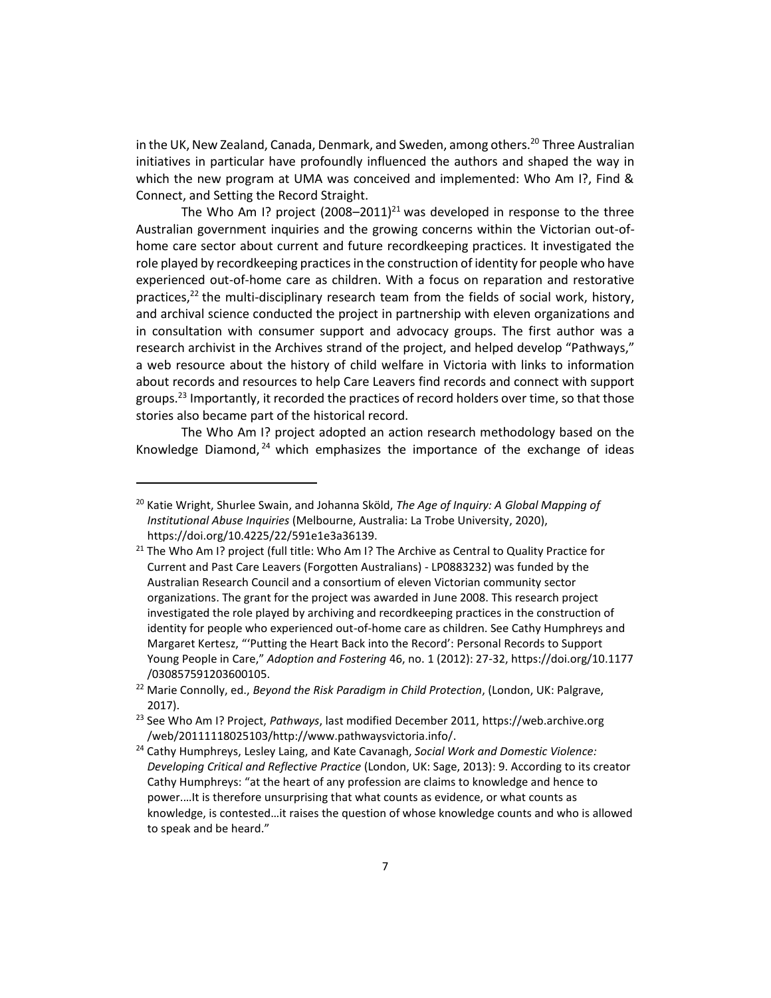in the UK, New Zealand, Canada, Denmark, and Sweden, among others.<sup>20</sup> Three Australian initiatives in particular have profoundly influenced the authors and shaped the way in which the new program at UMA was conceived and implemented: Who Am I?, Find & Connect, and Setting the Record Straight.

The Who Am I? project  $(2008-2011)^{21}$  was developed in response to the three Australian government inquiries and the growing concerns within the Victorian out-ofhome care sector about current and future recordkeeping practices. It investigated the role played by recordkeeping practices in the construction of identity for people who have experienced out-of-home care as children. With a focus on reparation and restorative practices,<sup>22</sup> the multi-disciplinary research team from the fields of social work, history, and archival science conducted the project in partnership with eleven organizations and in consultation with consumer support and advocacy groups. The first author was a research archivist in the Archives strand of the project, and helped develop "Pathways," a web resource about the history of child welfare in Victoria with links to information about records and resources to help Care Leavers find records and connect with support groups.<sup>23</sup> Importantly, it recorded the practices of record holders over time, so that those stories also became part of the historical record.

The Who Am I? project adopted an action research methodology based on the Knowledge Diamond, <sup>24</sup> which emphasizes the importance of the exchange of ideas

<sup>20</sup> Katie Wright, Shurlee Swain, and Johanna Sköld, *The Age of Inquiry: A Global Mapping of Institutional Abuse Inquiries* (Melbourne, Australia: La Trobe University, 2020), https://doi.org/10.4225/22/591e1e3a36139.

 $21$  The Who Am I? project (full title: Who Am I? The Archive as Central to Quality Practice for Current and Past Care Leavers (Forgotten Australians) - LP0883232) was funded by the Australian Research Council and a consortium of eleven Victorian community sector organizations. The grant for the project was awarded in June 2008. This research project investigated the role played by archiving and recordkeeping practices in the construction of identity for people who experienced out-of-home care as children. See Cathy Humphreys and Margaret Kertesz, "'Putting the Heart Back into the Record': Personal Records to Support Young People in Care," *Adoption and Fostering* 46, no. 1 (2012): 27-32, https://doi.org/10.1177 /030857591203600105.

<sup>22</sup> Marie Connolly, ed., *Beyond the Risk Paradigm in Child Protection*, (London, UK: Palgrave, 2017).

<sup>23</sup> See Who Am I? Project, *Pathways*, last modified December 2011, https://web.archive.org /web/20111118025103/http://www.pathwaysvictoria.info/.

<sup>24</sup> Cathy Humphreys, Lesley Laing, and Kate Cavanagh, *Social Work and Domestic Violence: Developing Critical and Reflective Practice* (London, UK: Sage, 2013): 9. According to its creator Cathy Humphreys: "at the heart of any profession are claims to knowledge and hence to power.…It is therefore unsurprising that what counts as evidence, or what counts as knowledge, is contested…it raises the question of whose knowledge counts and who is allowed to speak and be heard."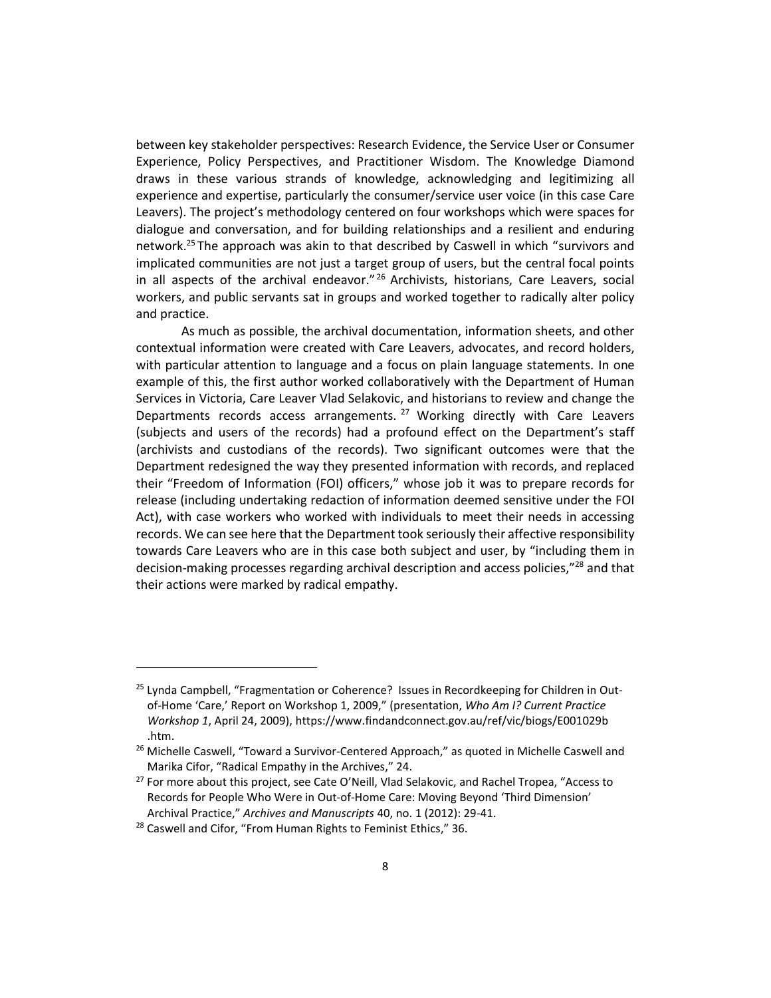between key stakeholder perspectives: Research Evidence, the Service User or Consumer Experience, Policy Perspectives, and Practitioner Wisdom. The Knowledge Diamond draws in these various strands of knowledge, acknowledging and legitimizing all experience and expertise, particularly the consumer/service user voice (in this case Care Leavers). The project's methodology centered on four workshops which were spaces for dialogue and conversation, and for building relationships and a resilient and enduring network.<sup>25</sup> The approach was akin to that described by Caswell in which "survivors and implicated communities are not just a target group of users, but the central focal points in all aspects of the archival endeavor."<sup>26</sup> Archivists, historians, Care Leavers, social workers, and public servants sat in groups and worked together to radically alter policy and practice.

As much as possible, the archival documentation, information sheets, and other contextual information were created with Care Leavers, advocates, and record holders, with particular attention to language and a focus on plain language statements. In one example of this, the first author worked collaboratively with the Department of Human Services in Victoria, Care Leaver Vlad Selakovic, and historians to review and change the Departments records access arrangements.<sup>27</sup> Working directly with Care Leavers (subjects and users of the records) had a profound effect on the Department's staff (archivists and custodians of the records). Two significant outcomes were that the Department redesigned the way they presented information with records, and replaced their "Freedom of Information (FOI) officers," whose job it was to prepare records for release (including undertaking redaction of information deemed sensitive under the FOI Act), with case workers who worked with individuals to meet their needs in accessing records. We can see here that the Department took seriously their affective responsibility towards Care Leavers who are in this case both subject and user, by "including them in decision-making processes regarding archival description and access policies,"<sup>28</sup> and that their actions were marked by radical empathy.

<sup>&</sup>lt;sup>25</sup> Lynda Campbell, "Fragmentation or Coherence? Issues in Recordkeeping for Children in Outof-Home 'Care,' Report on Workshop 1, 2009," (presentation, *Who Am I? Current Practice Workshop 1*, April 24, 2009), https://www.findandconnect.gov.au/ref/vic/biogs/E001029b .htm.

 $26$  Michelle Caswell, "Toward a Survivor-Centered Approach," as quoted in Michelle Caswell and Marika Cifor, "Radical Empathy in the Archives," 24.

<sup>&</sup>lt;sup>27</sup> For more about this project, see Cate O'Neill, Vlad Selakovic, and Rachel Tropea, "Access to Records for People Who Were in Out-of-Home Care: Moving Beyond 'Third Dimension' Archival Practice," *Archives and Manuscripts* 40, no. 1 (2012): 29-41.

<sup>&</sup>lt;sup>28</sup> Caswell and Cifor, "From Human Rights to Feminist Ethics," 36.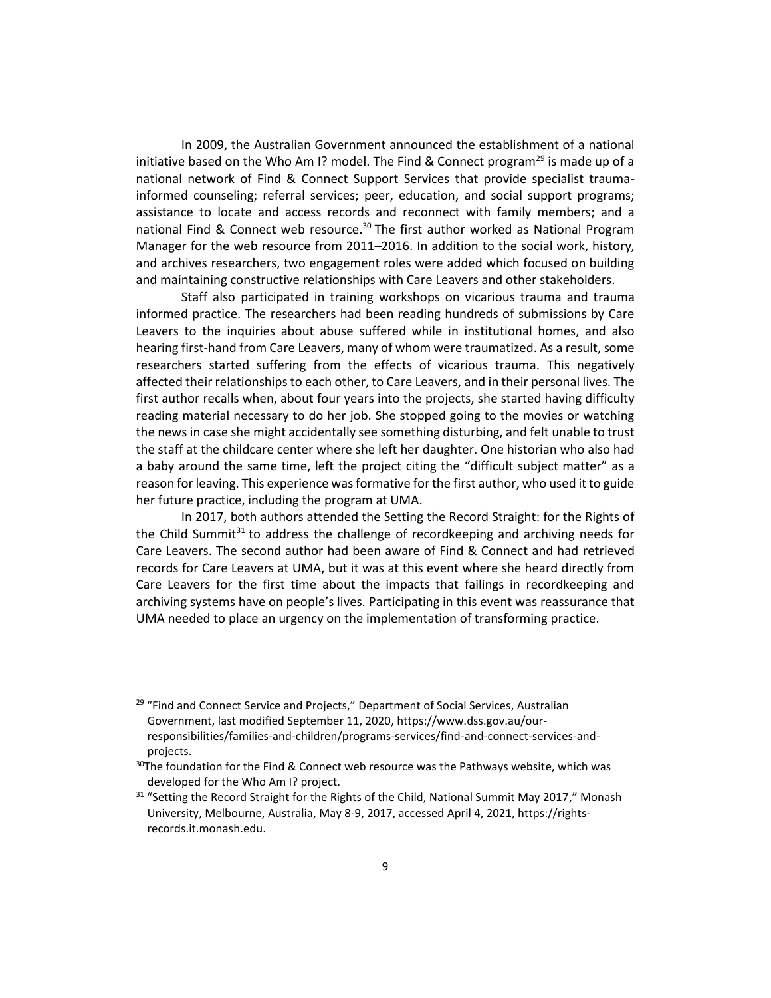In 2009, the Australian Government announced the establishment of a national initiative based on the Who Am I? model. The Find & Connect program<sup>29</sup> is made up of a national network of Find & Connect Support Services that provide specialist traumainformed counseling; referral services; peer, education, and social support programs; assistance to locate and access records and reconnect with family members; and a national Find & Connect web resource.<sup>30</sup> The first author worked as National Program Manager for the web resource from 2011–2016. In addition to the social work, history, and archives researchers, two engagement roles were added which focused on building and maintaining constructive relationships with Care Leavers and other stakeholders.

Staff also participated in training workshops on vicarious trauma and trauma informed practice. The researchers had been reading hundreds of submissions by Care Leavers to the inquiries about abuse suffered while in institutional homes, and also hearing first-hand from Care Leavers, many of whom were traumatized. As a result, some researchers started suffering from the effects of vicarious trauma. This negatively affected their relationships to each other, to Care Leavers, and in their personal lives. The first author recalls when, about four years into the projects, she started having difficulty reading material necessary to do her job. She stopped going to the movies or watching the news in case she might accidentally see something disturbing, and felt unable to trust the staff at the childcare center where she left her daughter. One historian who also had a baby around the same time, left the project citing the "difficult subject matter" as a reason for leaving. This experience was formative for the first author, who used it to guide her future practice, including the program at UMA.

In 2017, both authors attended the Setting the Record Straight: for the Rights of the Child Summit $31$  to address the challenge of recordkeeping and archiving needs for Care Leavers. The second author had been aware of Find & Connect and had retrieved records for Care Leavers at UMA, but it was at this event where she heard directly from Care Leavers for the first time about the impacts that failings in recordkeeping and archiving systems have on people's lives. Participating in this event was reassurance that UMA needed to place an urgency on the implementation of transforming practice.

<sup>&</sup>lt;sup>29</sup> "Find and Connect Service and Projects," Department of Social Services, Australian Government, last modified September 11, 2020, https://www.dss.gov.au/ourresponsibilities/families-and-children/programs-services/find-and-connect-services-andprojects.

 $30$ The foundation for the Find & Connect web resource was the Pathways website, which was developed for the Who Am I? project.

 $31$  "Setting the Record Straight for the Rights of the Child, National Summit May 2017," Monash University, Melbourne, Australia, May 8-9, 2017, accessed April 4, 2021, https://rightsrecords.it.monash.edu.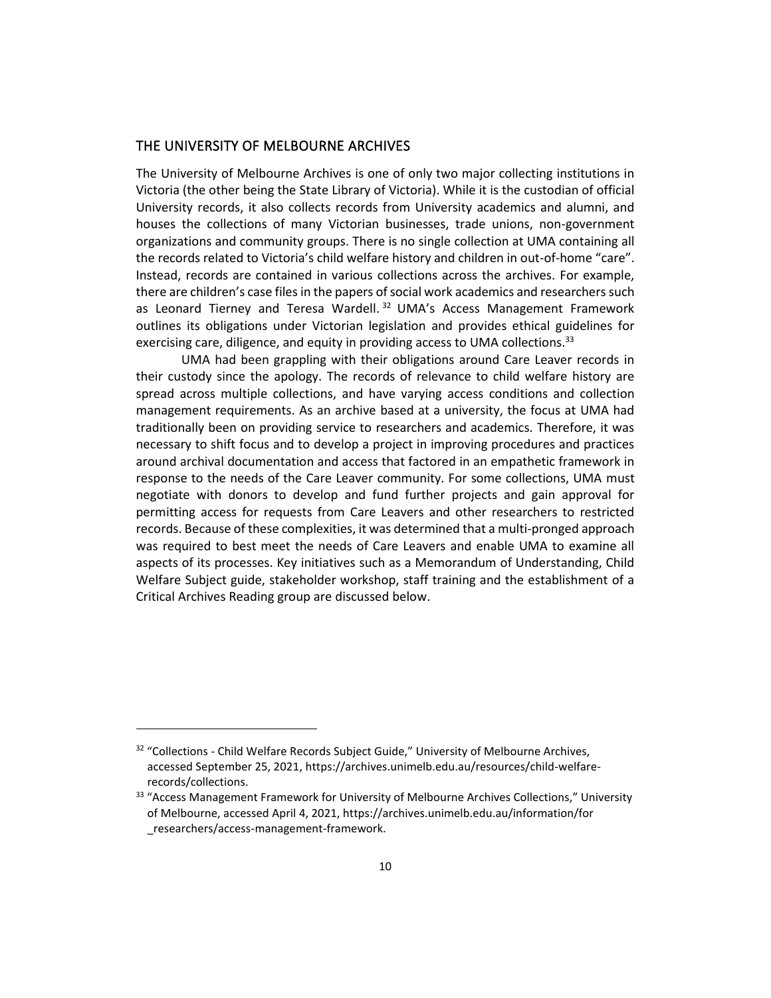### THE UNIVERSITY OF MELBOURNE ARCHIVES

The University of Melbourne Archives is one of only two major collecting institutions in Victoria (the other being the State Library of Victoria). While it is the custodian of official University records, it also collects records from University academics and alumni, and houses the collections of many Victorian businesses, trade unions, non-government organizations and community groups. There is no single collection at UMA containing all the records related to Victoria's child welfare history and children in out-of-home "care". Instead, records are contained in various collections across the archives. For example, there are children's case files in the papers of social work academics and researchers such as Leonard Tierney and Teresa Wardell.<sup>32</sup> UMA's Access Management Framework outlines its obligations under Victorian legislation and provides ethical guidelines for exercising care, diligence, and equity in providing access to UMA collections.<sup>33</sup>

UMA had been grappling with their obligations around Care Leaver records in their custody since the apology. The records of relevance to child welfare history are spread across multiple collections, and have varying access conditions and collection management requirements. As an archive based at a university, the focus at UMA had traditionally been on providing service to researchers and academics. Therefore, it was necessary to shift focus and to develop a project in improving procedures and practices around archival documentation and access that factored in an empathetic framework in response to the needs of the Care Leaver community. For some collections, UMA must negotiate with donors to develop and fund further projects and gain approval for permitting access for requests from Care Leavers and other researchers to restricted records. Because of these complexities, it was determined that a multi-pronged approach was required to best meet the needs of Care Leavers and enable UMA to examine all aspects of its processes. Key initiatives such as a Memorandum of Understanding, Child Welfare Subject guide, stakeholder workshop, staff training and the establishment of a Critical Archives Reading group are discussed below.

<sup>&</sup>lt;sup>32</sup> "Collections - Child Welfare Records Subject Guide," University of Melbourne Archives, accessed September 25, 2021, https://archives.unimelb.edu.au/resources/child-welfarerecords/collections.

<sup>&</sup>lt;sup>33</sup> "Access Management Framework for University of Melbourne Archives Collections," University of Melbourne, accessed April 4, 2021, https://archives.unimelb.edu.au/information/for \_researchers/access-management-framework.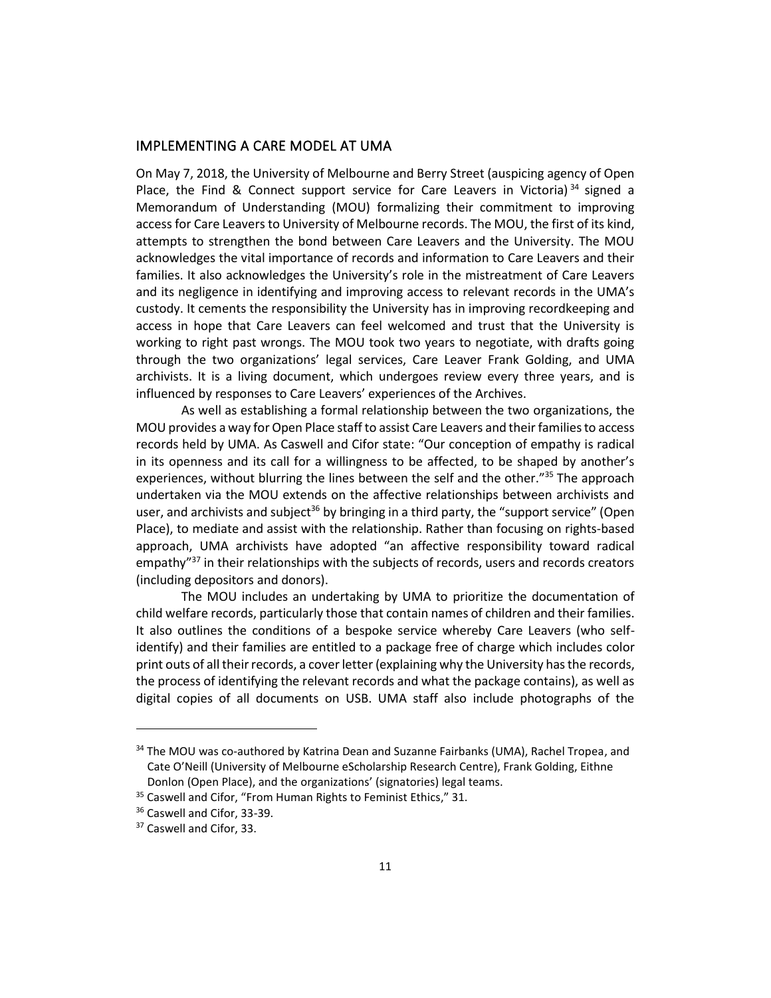## IMPLEMENTING A CARE MODEL AT UMA

On May 7, 2018, the University of Melbourne and Berry Street (auspicing agency of Open Place, the Find & Connect support service for Care Leavers in Victoria)<sup>34</sup> signed a Memorandum of Understanding (MOU) formalizing their commitment to improving access for Care Leavers to University of Melbourne records. The MOU, the first of its kind, attempts to strengthen the bond between Care Leavers and the University. The MOU acknowledges the vital importance of records and information to Care Leavers and their families. It also acknowledges the University's role in the mistreatment of Care Leavers and its negligence in identifying and improving access to relevant records in the UMA's custody. It cements the responsibility the University has in improving recordkeeping and access in hope that Care Leavers can feel welcomed and trust that the University is working to right past wrongs. The MOU took two years to negotiate, with drafts going through the two organizations' legal services, Care Leaver Frank Golding, and UMA archivists. It is a living document, which undergoes review every three years, and is influenced by responses to Care Leavers' experiences of the Archives.

As well as establishing a formal relationship between the two organizations, the MOU provides a way for Open Place staff to assist Care Leavers and their families to access records held by UMA. As Caswell and Cifor state: "Our conception of empathy is radical in its openness and its call for a willingness to be affected, to be shaped by another's experiences, without blurring the lines between the self and the other."<sup>35</sup> The approach undertaken via the MOU extends on the affective relationships between archivists and user, and archivists and subject<sup>36</sup> by bringing in a third party, the "support service" (Open Place), to mediate and assist with the relationship. Rather than focusing on rights-based approach, UMA archivists have adopted "an affective responsibility toward radical empathy"<sup>37</sup> in their relationships with the subjects of records, users and records creators (including depositors and donors).

The MOU includes an undertaking by UMA to prioritize the documentation of child welfare records, particularly those that contain names of children and their families. It also outlines the conditions of a bespoke service whereby Care Leavers (who selfidentify) and their families are entitled to a package free of charge which includes color print outs of all their records, a cover letter (explaining why the University has the records, the process of identifying the relevant records and what the package contains), as well as digital copies of all documents on USB. UMA staff also include photographs of the

<sup>&</sup>lt;sup>34</sup> The MOU was co-authored by Katrina Dean and Suzanne Fairbanks (UMA), Rachel Tropea, and Cate O'Neill (University of Melbourne eScholarship Research Centre), Frank Golding, Eithne Donlon (Open Place), and the organizations' (signatories) legal teams.

<sup>&</sup>lt;sup>35</sup> Caswell and Cifor, "From Human Rights to Feminist Ethics," 31.

<sup>&</sup>lt;sup>36</sup> Caswell and Cifor, 33-39.

<sup>&</sup>lt;sup>37</sup> Caswell and Cifor, 33.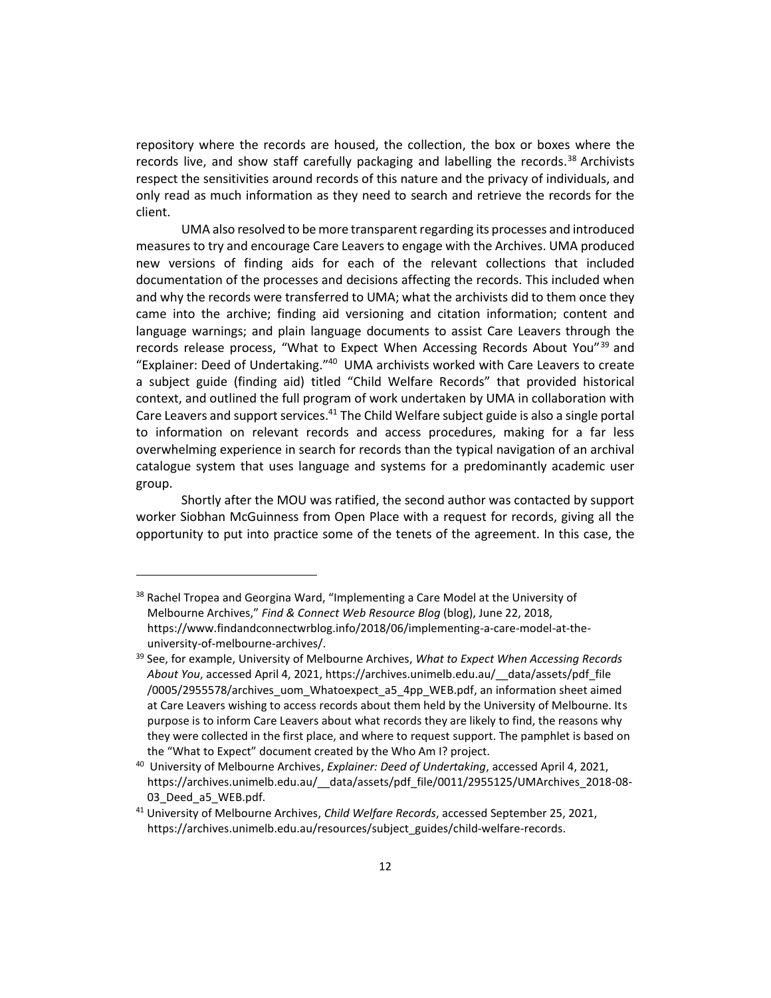repository where the records are housed, the collection, the box or boxes where the records live, and show staff carefully packaging and labelling the records.<sup>38</sup> Archivists respect the sensitivities around records of this nature and the privacy of individuals, and only read as much information as they need to search and retrieve the records for the client.

UMA also resolved to be more transparent regarding its processes and introduced measures to try and encourage Care Leavers to engage with the Archives. UMA produced new versions of finding aids for each of the relevant collections that included documentation of the processes and decisions affecting the records. This included when and why the records were transferred to UMA; what the archivists did to them once they came into the archive; finding aid versioning and citation information; content and language warnings; and plain language documents to assist Care Leavers through the records release process, "What to Expect When Accessing Records About You"<sup>39</sup> and "Explainer: Deed of Undertaking." 40 UMA archivists worked with Care Leavers to create a subject guide (finding aid) titled "Child Welfare Records" that provided historical context, and outlined the full program of work undertaken by UMA in collaboration with Care Leavers and support services.<sup>41</sup> The Child Welfare subject guide is also a single portal to information on relevant records and access procedures, making for a far less overwhelming experience in search for records than the typical navigation of an archival catalogue system that uses language and systems for a predominantly academic user group.

Shortly after the MOU was ratified, the second author was contacted by support worker Siobhan McGuinness from Open Place with a request for records, giving all the opportunity to put into practice some of the tenets of the agreement. In this case, the

<sup>&</sup>lt;sup>38</sup> Rachel Tropea and Georgina Ward, "Implementing a Care Model at the University of Melbourne Archives," *Find & Connect Web Resource Blog* (blog), June 22, 2018, https://www.findandconnectwrblog.info/2018/06/implementing-a-care-model-at-theuniversity-of-melbourne-archives/.

<sup>39</sup> See, for example, University of Melbourne Archives, *What to Expect When Accessing Records About You*, accessed April 4, 2021, https://archives.unimelb.edu.au/\_\_data/assets/pdf\_file /0005/2955578/archives\_uom\_Whatoexpect\_a5\_4pp\_WEB.pdf, an information sheet aimed at Care Leavers wishing to access records about them held by the University of Melbourne. Its purpose is to inform Care Leavers about what records they are likely to find, the reasons why they were collected in the first place, and where to request support. The pamphlet is based on the "What to Expect" document created by the Who Am I? project.

<sup>40</sup> University of Melbourne Archives, *Explainer: Deed of Undertaking*, accessed April 4, 2021, https://archives.unimelb.edu.au/\_\_data/assets/pdf\_file/0011/2955125/UMArchives\_2018-08- 03 Deed a5 WEB.pdf.

<sup>41</sup> University of Melbourne Archives, *Child Welfare Records*, accessed September 25, 2021, https://archives.unimelb.edu.au/resources/subject\_guides/child-welfare-records.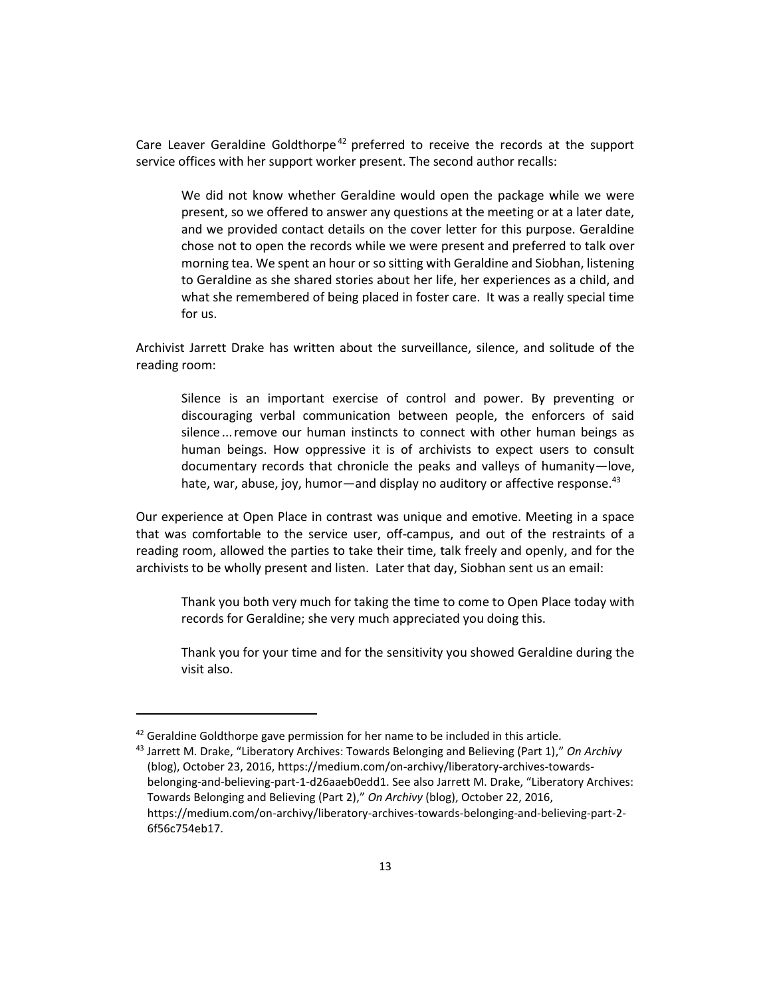Care Leaver Geraldine Goldthorpe<sup>42</sup> preferred to receive the records at the support service offices with her support worker present. The second author recalls:

We did not know whether Geraldine would open the package while we were present, so we offered to answer any questions at the meeting or at a later date, and we provided contact details on the cover letter for this purpose. Geraldine chose not to open the records while we were present and preferred to talk over morning tea. We spent an hour or so sitting with Geraldine and Siobhan, listening to Geraldine as she shared stories about her life, her experiences as a child, and what she remembered of being placed in foster care. It was a really special time for us.

Archivist Jarrett Drake has written about the surveillance, silence, and solitude of the reading room:

Silence is an important exercise of control and power. By preventing or discouraging verbal communication between people, the enforcers of said silence ... remove our human instincts to connect with other human beings as human beings. How oppressive it is of archivists to expect users to consult documentary records that chronicle the peaks and valleys of humanity—love, hate, war, abuse, joy, humor—and display no auditory or affective response.<sup>43</sup>

Our experience at Open Place in contrast was unique and emotive. Meeting in a space that was comfortable to the service user, off-campus, and out of the restraints of a reading room, allowed the parties to take their time, talk freely and openly, and for the archivists to be wholly present and listen. Later that day, Siobhan sent us an email:

Thank you both very much for taking the time to come to Open Place today with records for Geraldine; she very much appreciated you doing this.

Thank you for your time and for the sensitivity you showed Geraldine during the visit also.

 $42$  Geraldine Goldthorpe gave permission for her name to be included in this article.

<sup>43</sup> Jarrett M. Drake, "Liberatory Archives: Towards Belonging and Believing (Part 1)," *On Archivy* (blog), October 23, 2016, https://medium.com/on-archivy/liberatory-archives-towardsbelonging-and-believing-part-1-d26aaeb0edd1. See also Jarrett M. Drake, "Liberatory Archives: Towards Belonging and Believing (Part 2)," *On Archivy* (blog), October 22, 2016, https://medium.com/on-archivy/liberatory-archives-towards-belonging-and-believing-part-2- 6f56c754eb17.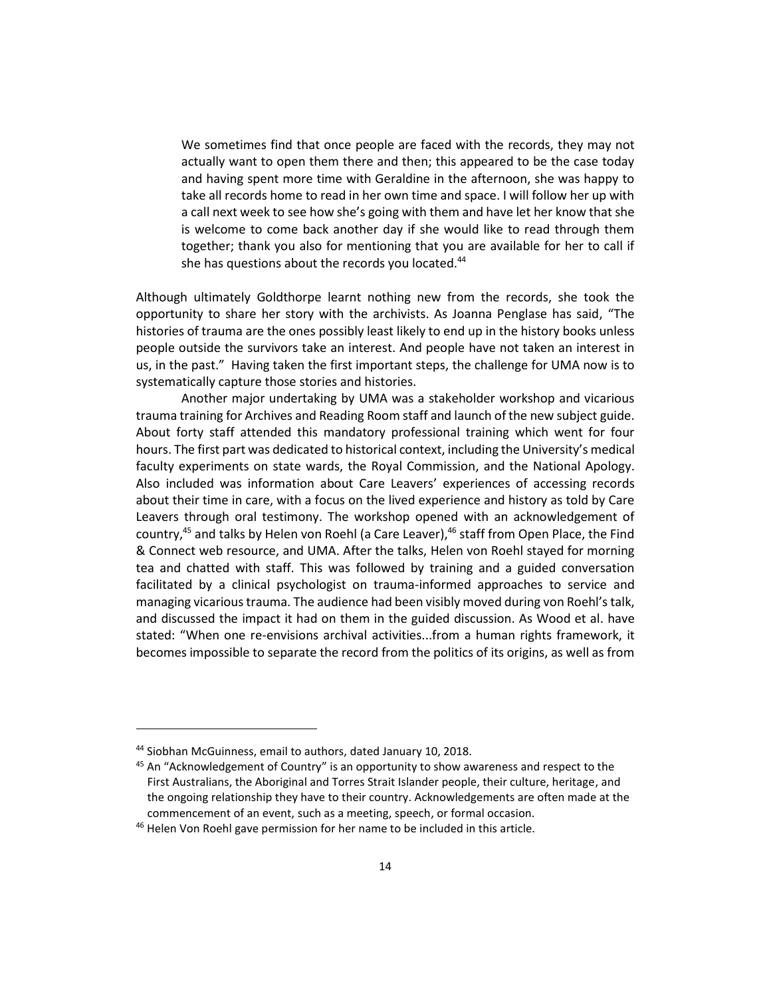We sometimes find that once people are faced with the records, they may not actually want to open them there and then; this appeared to be the case today and having spent more time with Geraldine in the afternoon, she was happy to take all records home to read in her own time and space. I will follow her up with a call next week to see how she's going with them and have let her know that she is welcome to come back another day if she would like to read through them together; thank you also for mentioning that you are available for her to call if she has questions about the records you located.<sup>44</sup>

Although ultimately Goldthorpe learnt nothing new from the records, she took the opportunity to share her story with the archivists. As Joanna Penglase has said, "The histories of trauma are the ones possibly least likely to end up in the history books unless people outside the survivors take an interest. And people have not taken an interest in us, in the past."Having taken the first important steps, the challenge for UMA now is to systematically capture those stories and histories.

Another major undertaking by UMA was a stakeholder workshop and vicarious trauma training for Archives and Reading Room staff and launch of the new subject guide. About forty staff attended this mandatory professional training which went for four hours. The first part was dedicated to historical context, including the University's medical faculty experiments on state wards, the Royal Commission, and the National Apology. Also included was information about Care Leavers' experiences of accessing records about their time in care, with a focus on the lived experience and history as told by Care Leavers through oral testimony. The workshop opened with an acknowledgement of country, <sup>45</sup> and talks by Helen von Roehl (a Care Leaver), <sup>46</sup> staff from Open Place, the Find & Connect web resource, and UMA. After the talks, Helen von Roehl stayed for morning tea and chatted with staff. This was followed by training and a guided conversation facilitated by a clinical psychologist on trauma-informed approaches to service and managing vicarious trauma. The audience had been visibly moved during von Roehl's talk, and discussed the impact it had on them in the guided discussion. As Wood et al. have stated: "When one re-envisions archival activities...from a human rights framework, it becomes impossible to separate the record from the politics of its origins, as well as from

<sup>44</sup> Siobhan McGuinness, email to authors, dated January 10, 2018.

 $45$  An "Acknowledgement of Country" is an opportunity to show awareness and respect to the First Australians, the Aboriginal and Torres Strait Islander people, their culture, heritage, and the ongoing relationship they have to their country. Acknowledgements are often made at the commencement of an event, such as a meeting, speech, or formal occasion.

<sup>&</sup>lt;sup>46</sup> Helen Von Roehl gave permission for her name to be included in this article.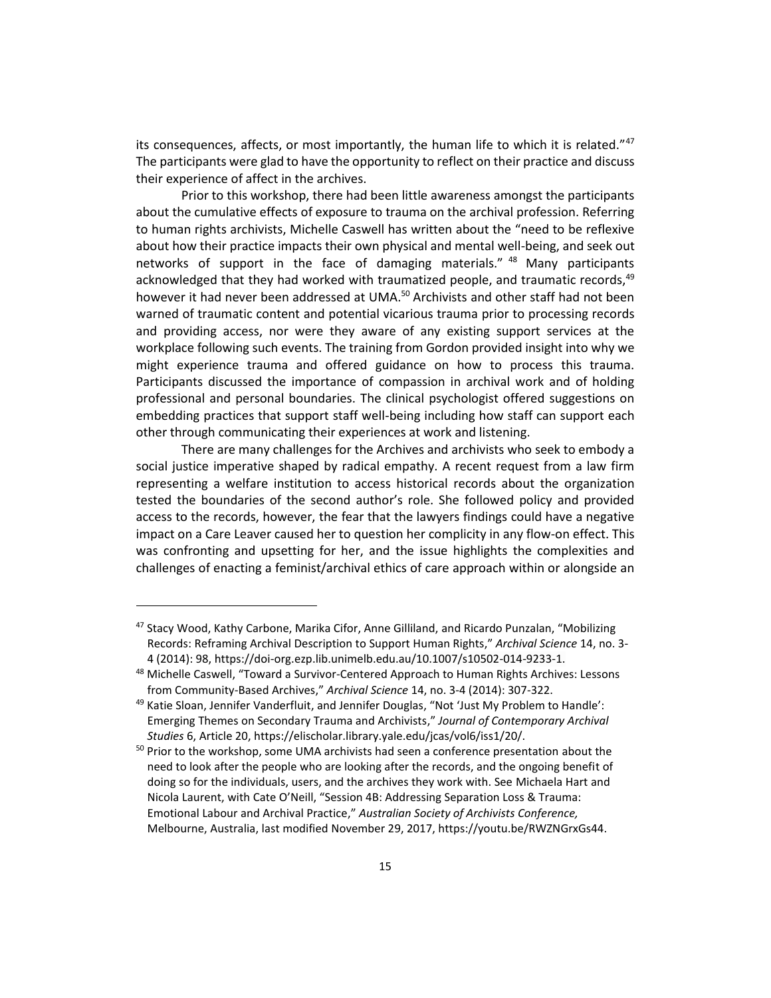its consequences, affects, or most importantly, the human life to which it is related."<sup>47</sup> The participants were glad to have the opportunity to reflect on their practice and discuss their experience of affect in the archives.

Prior to this workshop, there had been little awareness amongst the participants about the cumulative effects of exposure to trauma on the archival profession. Referring to human rights archivists, Michelle Caswell has written about the "need to be reflexive about how their practice impacts their own physical and mental well-being, and seek out networks of support in the face of damaging materials." <sup>48</sup> Many participants acknowledged that they had worked with traumatized people, and traumatic records, 49 however it had never been addressed at UMA.<sup>50</sup> Archivists and other staff had not been warned of traumatic content and potential vicarious trauma prior to processing records and providing access, nor were they aware of any existing support services at the workplace following such events. The training from Gordon provided insight into why we might experience trauma and offered guidance on how to process this trauma. Participants discussed the importance of compassion in archival work and of holding professional and personal boundaries. The clinical psychologist offered suggestions on embedding practices that support staff well-being including how staff can support each other through communicating their experiences at work and listening.

There are many challenges for the Archives and archivists who seek to embody a social justice imperative shaped by radical empathy. A recent request from a law firm representing a welfare institution to access historical records about the organization tested the boundaries of the second author's role. She followed policy and provided access to the records, however, the fear that the lawyers findings could have a negative impact on a Care Leaver caused her to question her complicity in any flow-on effect. This was confronting and upsetting for her, and the issue highlights the complexities and challenges of enacting a feminist/archival ethics of care approach within or alongside an

<sup>&</sup>lt;sup>47</sup> Stacy Wood, Kathy Carbone, Marika Cifor, Anne Gilliland, and Ricardo Punzalan, "Mobilizing Records: Reframing Archival Description to Support Human Rights," *Archival Science* 14, no. 3- 4 (2014): 98, https://doi-org.ezp.lib.unimelb.edu.au/10.1007/s10502-014-9233-1.

<sup>&</sup>lt;sup>48</sup> Michelle Caswell, "Toward a Survivor-Centered Approach to Human Rights Archives: Lessons from Community-Based Archives," *Archival Science* 14, no. 3-4 (2014): 307-322.

<sup>49</sup> Katie Sloan, Jennifer Vanderfluit, and Jennifer Douglas, "Not 'Just My Problem to Handle': Emerging Themes on Secondary Trauma and Archivists," *Journal of Contemporary Archival Studies* 6, Article 20, https://elischolar.library.yale.edu/jcas/vol6/iss1/20/.

<sup>&</sup>lt;sup>50</sup> Prior to the workshop, some UMA archivists had seen a conference presentation about the need to look after the people who are looking after the records, and the ongoing benefit of doing so for the individuals, users, and the archives they work with. See Michaela Hart and Nicola Laurent, with Cate O'Neill, "Session 4B: Addressing Separation Loss & Trauma: Emotional Labour and Archival Practice," *Australian Society of Archivists Conference,*  Melbourne, Australia, last modified November 29, 2017, https://youtu.be/RWZNGrxGs44.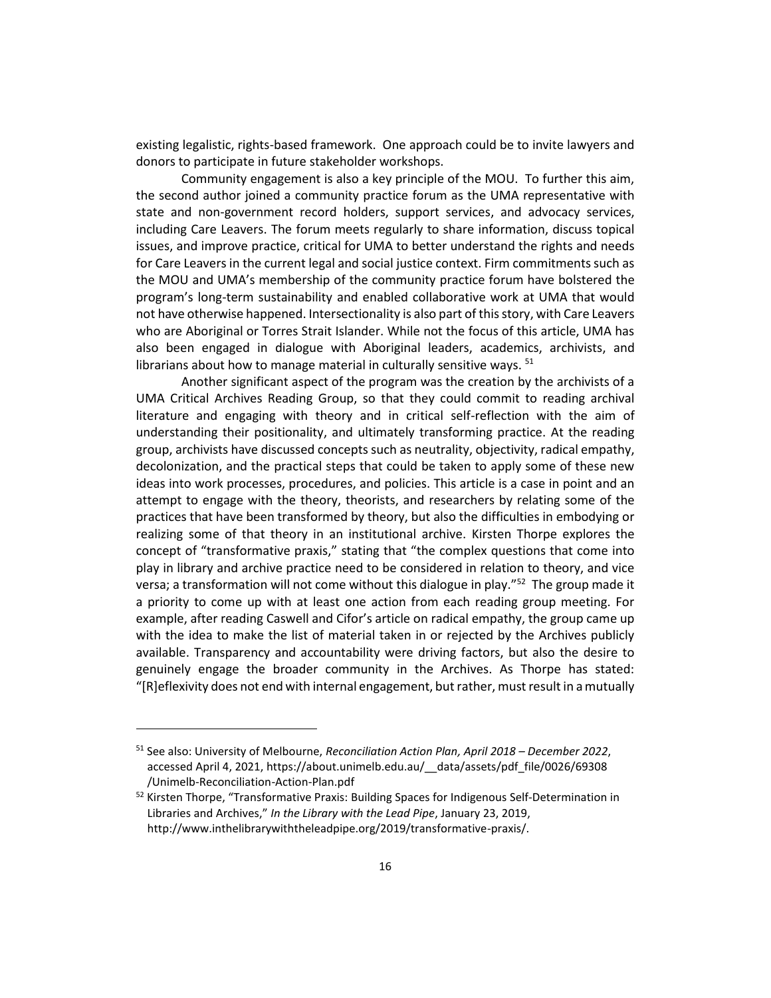existing legalistic, rights-based framework. One approach could be to invite lawyers and donors to participate in future stakeholder workshops.

Community engagement is also a key principle of the MOU. To further this aim, the second author joined a community practice forum as the UMA representative with state and non-government record holders, support services, and advocacy services, including Care Leavers. The forum meets regularly to share information, discuss topical issues, and improve practice, critical for UMA to better understand the rights and needs for Care Leavers in the current legal and social justice context. Firm commitments such as the MOU and UMA's membership of the community practice forum have bolstered the program's long-term sustainability and enabled collaborative work at UMA that would not have otherwise happened. Intersectionality is also part of this story, with Care Leavers who are Aboriginal or Torres Strait Islander. While not the focus of this article, UMA has also been engaged in dialogue with Aboriginal leaders, academics, archivists, and librarians about how to manage material in culturally sensitive ways.  $51$ 

Another significant aspect of the program was the creation by the archivists of a UMA Critical Archives Reading Group, so that they could commit to reading archival literature and engaging with theory and in critical self-reflection with the aim of understanding their positionality, and ultimately transforming practice. At the reading group, archivists have discussed concepts such as neutrality, objectivity, radical empathy, decolonization, and the practical steps that could be taken to apply some of these new ideas into work processes, procedures, and policies. This article is a case in point and an attempt to engage with the theory, theorists, and researchers by relating some of the practices that have been transformed by theory, but also the difficulties in embodying or realizing some of that theory in an institutional archive. Kirsten Thorpe explores the concept of "transformative praxis," stating that "the complex questions that come into play in library and archive practice need to be considered in relation to theory, and vice versa; a transformation will not come without this dialogue in play."<sup>52</sup> The group made it a priority to come up with at least one action from each reading group meeting. For example, after reading Caswell and Cifor's article on radical empathy, the group came up with the idea to make the list of material taken in or rejected by the Archives publicly available. Transparency and accountability were driving factors, but also the desire to genuinely engage the broader community in the Archives. As Thorpe has stated: "[R]eflexivity does not end with internal engagement, but rather, must result in a mutually

<sup>51</sup> See also: University of Melbourne, *Reconciliation Action Plan, April 2018 – December 2022*, accessed April 4, 2021, https://about.unimelb.edu.au/\_\_data/assets/pdf\_file/0026/69308 /Unimelb-Reconciliation-Action-Plan.pdf

<sup>&</sup>lt;sup>52</sup> Kirsten Thorpe, "Transformative Praxis: Building Spaces for Indigenous Self-Determination in Libraries and Archives," *In the Library with the Lead Pipe*, January 23, 2019, http://www.inthelibrarywiththeleadpipe.org/2019/transformative-praxis/.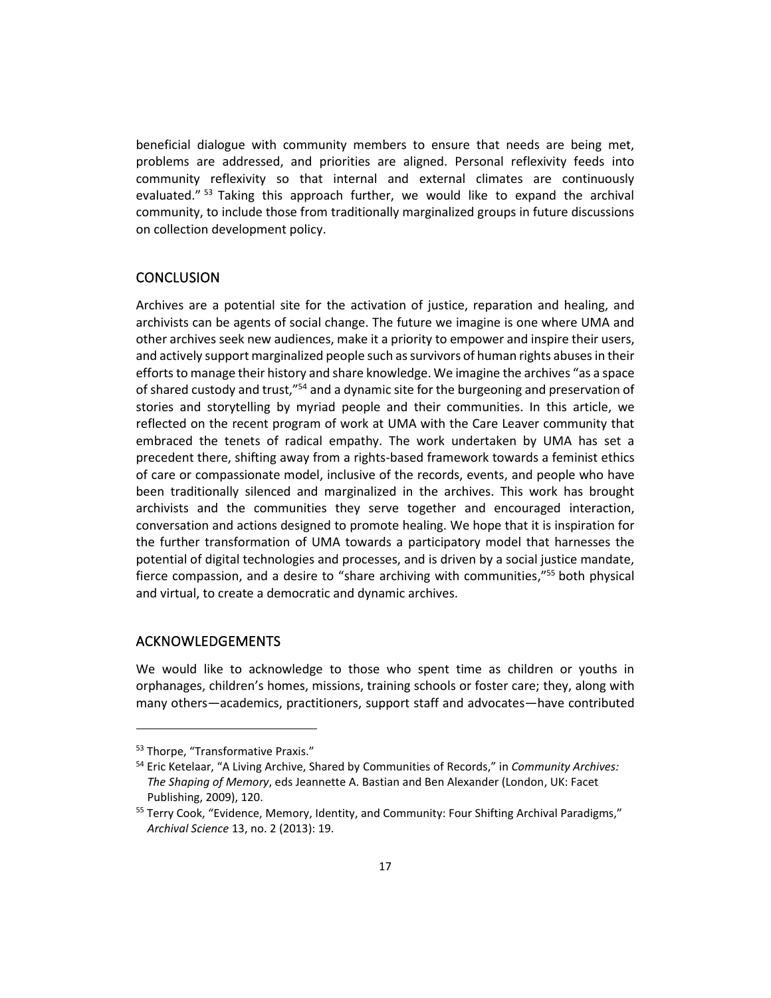beneficial dialogue with community members to ensure that needs are being met, problems are addressed, and priorities are aligned. Personal reflexivity feeds into community reflexivity so that internal and external climates are continuously evaluated." <sup>53</sup> Taking this approach further, we would like to expand the archival community, to include those from traditionally marginalized groups in future discussions on collection development policy.

#### **CONCLUSION**

Archives are a potential site for the activation of justice, reparation and healing, and archivists can be agents of social change. The future we imagine is one where UMA and other archives seek new audiences, make it a priority to empower and inspire their users, and actively support marginalized people such as survivors of human rights abuses in their efforts to manage their history and share knowledge. We imagine the archives "as a space of shared custody and trust,"<sup>54</sup> and a dynamic site for the burgeoning and preservation of stories and storytelling by myriad people and their communities. In this article, we reflected on the recent program of work at UMA with the Care Leaver community that embraced the tenets of radical empathy. The work undertaken by UMA has set a precedent there, shifting away from a rights-based framework towards a feminist ethics of care or compassionate model, inclusive of the records, events, and people who have been traditionally silenced and marginalized in the archives. This work has brought archivists and the communities they serve together and encouraged interaction, conversation and actions designed to promote healing. We hope that it is inspiration for the further transformation of UMA towards a participatory model that harnesses the potential of digital technologies and processes, and is driven by a social justice mandate, fierce compassion, and a desire to "share archiving with communities,"<sup>55</sup> both physical and virtual, to create a democratic and dynamic archives.

#### ACKNOWLEDGEMENTS

We would like to acknowledge to those who spent time as children or youths in orphanages, children's homes, missions, training schools or foster care; they, along with many others—academics, practitioners, support staff and advocates—have contributed

<sup>&</sup>lt;sup>53</sup> Thorpe, "Transformative Praxis."

<sup>54</sup> Eric Ketelaar, "A Living Archive, Shared by Communities of Records," in *Community Archives: The Shaping of Memory*, eds Jeannette A. Bastian and Ben Alexander (London, UK: Facet Publishing, 2009), 120.

<sup>&</sup>lt;sup>55</sup> Terry Cook, "Evidence, Memory, Identity, and Community: Four Shifting Archival Paradigms," *Archival Science* 13, no. 2 (2013): 19.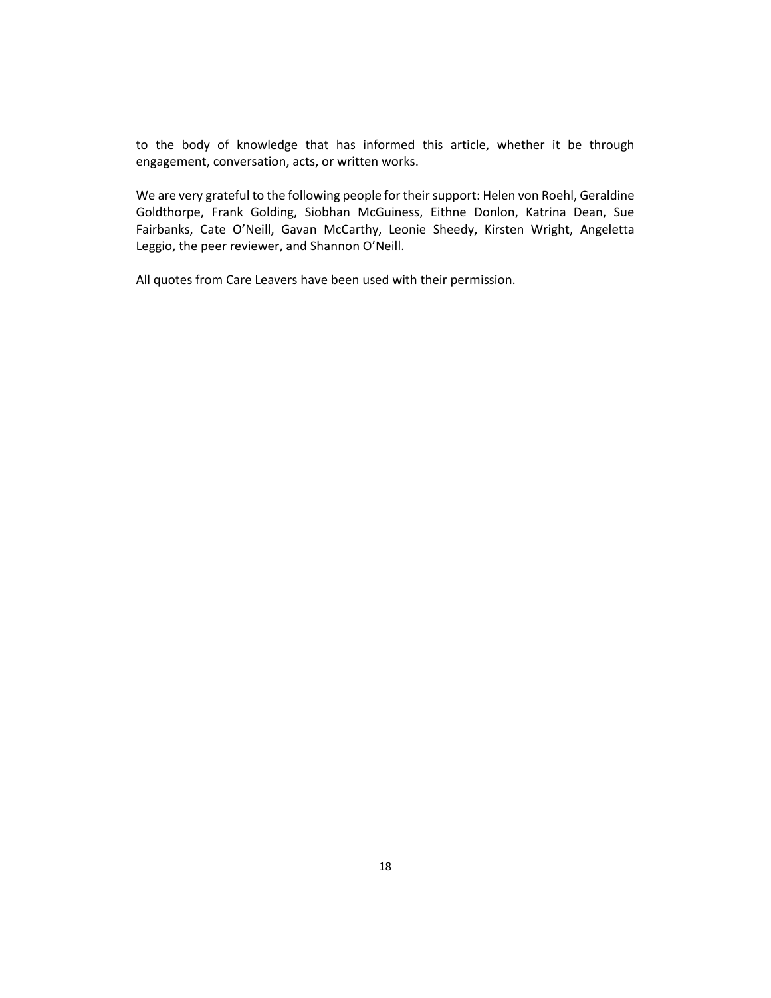to the body of knowledge that has informed this article, whether it be through engagement, conversation, acts, or written works.

We are very grateful to the following people for their support: Helen von Roehl, Geraldine Goldthorpe, Frank Golding, Siobhan McGuiness, Eithne Donlon, Katrina Dean, Sue Fairbanks, Cate O'Neill, Gavan McCarthy, Leonie Sheedy, Kirsten Wright, Angeletta Leggio, the peer reviewer, and Shannon O'Neill.

All quotes from Care Leavers have been used with their permission.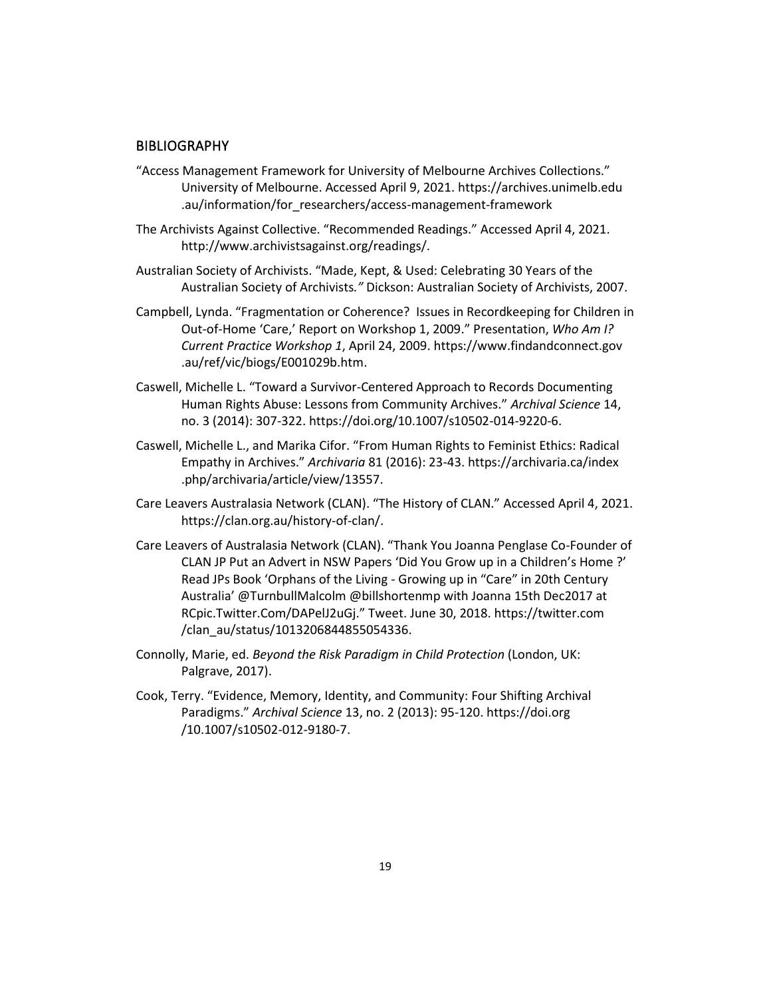#### **BIBLIOGRAPHY**

- "Access Management Framework for University of Melbourne Archives Collections." University of Melbourne. Accessed April 9, 2021. https://archives.unimelb.edu .au/information/for\_researchers/access-management-framework
- The Archivists Against Collective. "Recommended Readings." Accessed April 4, 2021. http://www.archivistsagainst.org/readings/.
- Australian Society of Archivists. "Made, Kept, & Used: Celebrating 30 Years of the Australian Society of Archivists*."* Dickson: Australian Society of Archivists, 2007.
- Campbell, Lynda. "Fragmentation or Coherence? Issues in Recordkeeping for Children in Out-of-Home 'Care,' Report on Workshop 1, 2009." Presentation, *Who Am I? Current Practice Workshop 1*, April 24, 2009. https://www.findandconnect.gov .au/ref/vic/biogs/E001029b.htm.
- Caswell, Michelle L. "Toward a Survivor-Centered Approach to Records Documenting Human Rights Abuse: Lessons from Community Archives." *Archival Science* 14, no. 3 (2014): 307-322. https://doi.org/10.1007/s10502-014-9220-6.
- Caswell, Michelle L., and Marika Cifor. "From Human Rights to Feminist Ethics: Radical Empathy in Archives." *Archivaria* 81 (2016): 23-43. https://archivaria.ca/index .php/archivaria/article/view/13557.
- Care Leavers Australasia Network (CLAN). "The History of CLAN." Accessed April 4, 2021. https://clan.org.au/history-of-clan/.
- Care Leavers of Australasia Network (CLAN). "Thank You Joanna Penglase Co-Founder of CLAN JP Put an Advert in NSW Papers 'Did You Grow up in a Children's Home ?' Read JPs Book 'Orphans of the Living - Growing up in "Care" in 20th Century Australia' @TurnbullMalcolm @billshortenmp with Joanna 15th Dec2017 at RCpic.Twitter.Com/DAPelJ2uGj." Tweet. June 30, 2018. https://twitter.com /clan\_au/status/1013206844855054336.
- Connolly, Marie, ed. *Beyond the Risk Paradigm in Child Protection* (London, UK: Palgrave, 2017).
- Cook, Terry. "Evidence, Memory, Identity, and Community: Four Shifting Archival Paradigms." *Archival Science* 13, no. 2 (2013): 95-120. https://doi.org /10.1007/s10502-012-9180-7.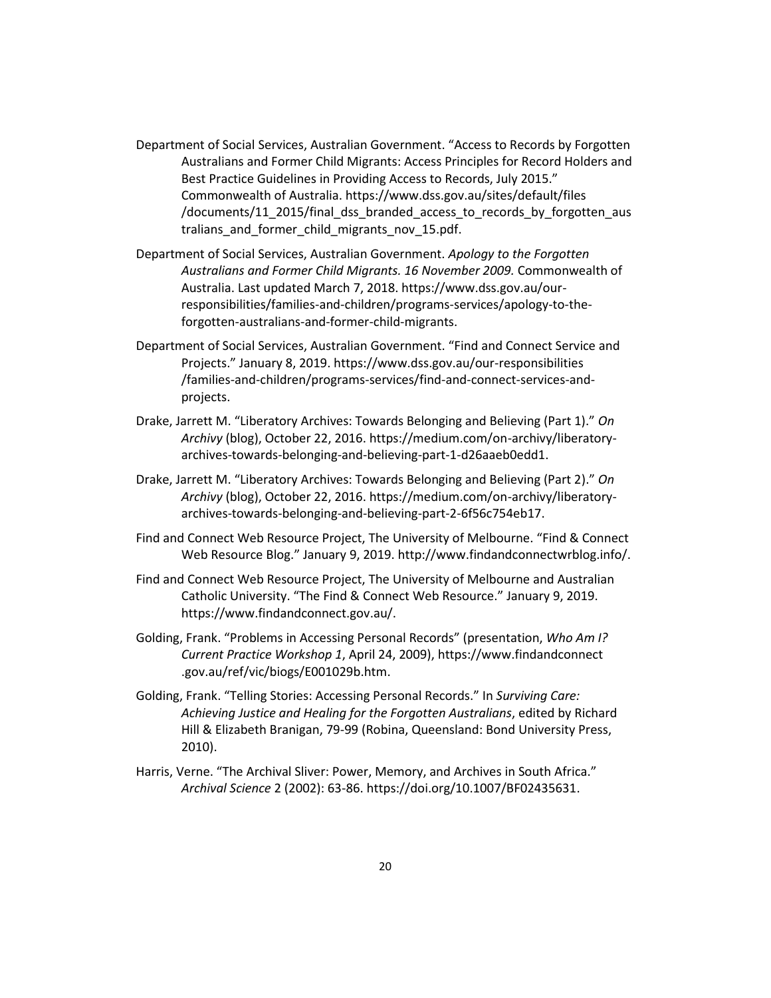- Department of Social Services, Australian Government. "Access to Records by Forgotten Australians and Former Child Migrants: Access Principles for Record Holders and Best Practice Guidelines in Providing Access to Records, July 2015." Commonwealth of Australia. https://www.dss.gov.au/sites/default/files /documents/11\_2015/final\_dss\_branded\_access\_to\_records\_by\_forgotten\_aus tralians and former child migrants nov 15.pdf.
- Department of Social Services, Australian Government. *Apology to the Forgotten Australians and Former Child Migrants. 16 November 2009.* Commonwealth of Australia. Last updated March 7, 2018. https://www.dss.gov.au/ourresponsibilities/families-and-children/programs-services/apology-to-theforgotten-australians-and-former-child-migrants.
- Department of Social Services, Australian Government. "Find and Connect Service and Projects." January 8, 2019. https://www.dss.gov.au/our-responsibilities /families-and-children/programs-services/find-and-connect-services-andprojects.
- Drake, Jarrett M. "Liberatory Archives: Towards Belonging and Believing (Part 1)." *On Archivy* (blog), October 22, 2016. https://medium.com/on-archivy/liberatoryarchives-towards-belonging-and-believing-part-1-d26aaeb0edd1.
- Drake, Jarrett M. "Liberatory Archives: Towards Belonging and Believing (Part 2)." *On Archivy* (blog), October 22, 2016. https://medium.com/on-archivy/liberatoryarchives-towards-belonging-and-believing-part-2-6f56c754eb17.
- Find and Connect Web Resource Project, The University of Melbourne. "Find & Connect Web Resource Blog." January 9, 2019. http://www.findandconnectwrblog.info/.
- Find and Connect Web Resource Project, The University of Melbourne and Australian Catholic University. "The Find & Connect Web Resource." January 9, 2019. https://www.findandconnect.gov.au/.
- Golding, Frank. "Problems in Accessing Personal Records" (presentation, *Who Am I? Current Practice Workshop 1*, April 24, 2009), https://www.findandconnect .gov.au/ref/vic/biogs/E001029b.htm.
- Golding, Frank. "Telling Stories: Accessing Personal Records." In *Surviving Care: Achieving Justice and Healing for the Forgotten Australians*, edited by Richard Hill & Elizabeth Branigan, 79-99 (Robina, Queensland: Bond University Press, 2010).
- Harris, Verne. "The Archival Sliver: Power, Memory, and Archives in South Africa." *Archival Science* 2 (2002): 63-86. https://doi.org/10.1007/BF02435631.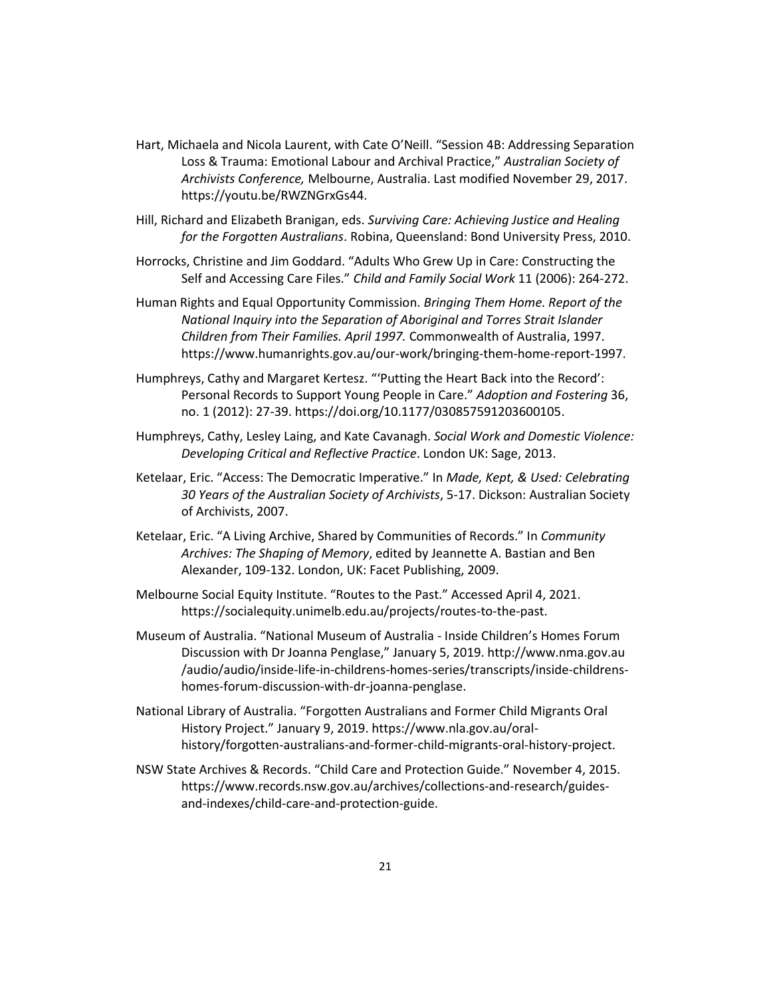- Hart, Michaela and Nicola Laurent, with Cate O'Neill. "Session 4B: Addressing Separation Loss & Trauma: Emotional Labour and Archival Practice," *Australian Society of Archivists Conference,* Melbourne, Australia. Last modified November 29, 2017. https://youtu.be/RWZNGrxGs44.
- Hill, Richard and Elizabeth Branigan, eds. *Surviving Care: Achieving Justice and Healing for the Forgotten Australians*. Robina, Queensland: Bond University Press, 2010.
- Horrocks, Christine and Jim Goddard. "Adults Who Grew Up in Care: Constructing the Self and Accessing Care Files." *Child and Family Social Work* 11 (2006): 264-272.
- Human Rights and Equal Opportunity Commission. *Bringing Them Home. Report of the National Inquiry into the Separation of Aboriginal and Torres Strait Islander Children from Their Families. April 1997.* Commonwealth of Australia, 1997. https://www.humanrights.gov.au/our-work/bringing-them-home-report-1997.
- Humphreys, Cathy and Margaret Kertesz. "'Putting the Heart Back into the Record': Personal Records to Support Young People in Care." *Adoption and Fostering* 36, no. 1 (2012): 27-39. https://doi.org/10.1177/030857591203600105.
- Humphreys, Cathy, Lesley Laing, and Kate Cavanagh. *Social Work and Domestic Violence: Developing Critical and Reflective Practice*. London UK: Sage, 2013.
- Ketelaar, Eric. "Access: The Democratic Imperative." In *Made, Kept, & Used: Celebrating 30 Years of the Australian Society of Archivists*, 5-17. Dickson: Australian Society of Archivists, 2007.
- Ketelaar, Eric. "A Living Archive, Shared by Communities of Records." In *Community Archives: The Shaping of Memory*, edited by Jeannette A. Bastian and Ben Alexander, 109-132. London, UK: Facet Publishing, 2009.
- Melbourne Social Equity Institute. "Routes to the Past." Accessed April 4, 2021. https://socialequity.unimelb.edu.au/projects/routes-to-the-past.
- Museum of Australia. "National Museum of Australia Inside Children's Homes Forum Discussion with Dr Joanna Penglase," January 5, 2019. http://www.nma.gov.au /audio/audio/inside-life-in-childrens-homes-series/transcripts/inside-childrenshomes-forum-discussion-with-dr-joanna-penglase.
- National Library of Australia. "Forgotten Australians and Former Child Migrants Oral History Project." January 9, 2019. https://www.nla.gov.au/oralhistory/forgotten-australians-and-former-child-migrants-oral-history-project.
- NSW State Archives & Records. "Child Care and Protection Guide." November 4, 2015. https://www.records.nsw.gov.au/archives/collections-and-research/guidesand-indexes/child-care-and-protection-guide.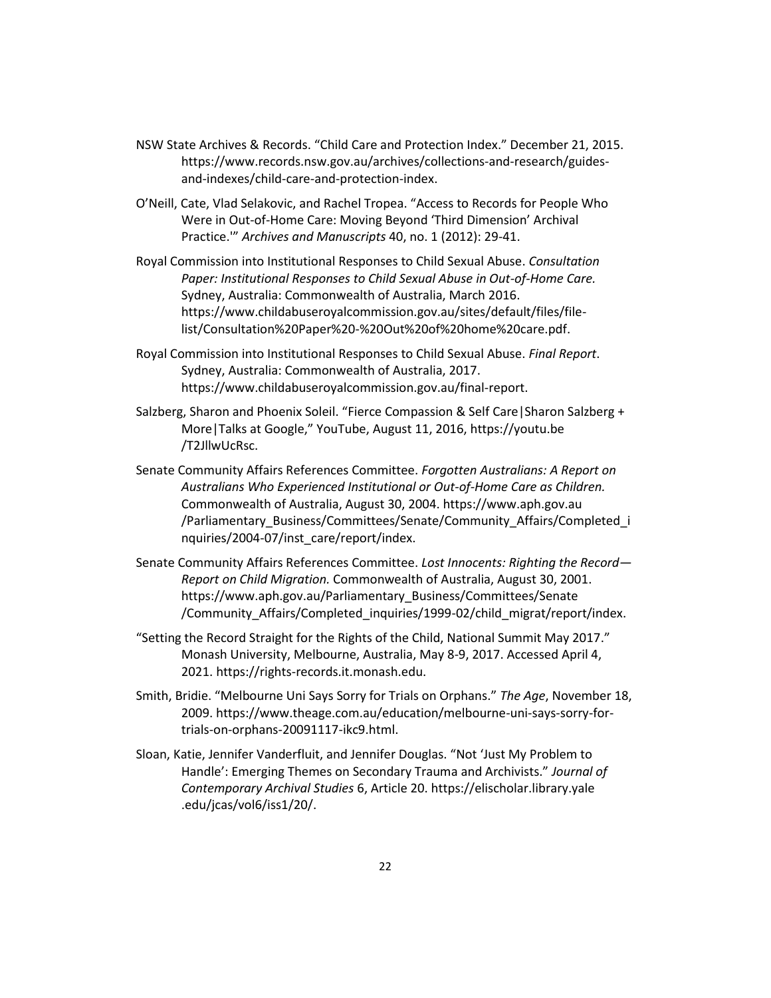- NSW State Archives & Records. "Child Care and Protection Index." December 21, 2015. https://www.records.nsw.gov.au/archives/collections-and-research/guidesand-indexes/child-care-and-protection-index.
- O'Neill, Cate, Vlad Selakovic, and Rachel Tropea. "Access to Records for People Who Were in Out-of-Home Care: Moving Beyond 'Third Dimension' Archival Practice.'" *Archives and Manuscripts* 40, no. 1 (2012): 29-41.
- Royal Commission into Institutional Responses to Child Sexual Abuse. *Consultation Paper: Institutional Responses to Child Sexual Abuse in Out-of-Home Care.* Sydney, Australia: Commonwealth of Australia, March 2016. https://www.childabuseroyalcommission.gov.au/sites/default/files/filelist/Consultation%20Paper%20-%20Out%20of%20home%20care.pdf.
- Royal Commission into Institutional Responses to Child Sexual Abuse. *Final Report*. Sydney, Australia: Commonwealth of Australia, 2017. https://www.childabuseroyalcommission.gov.au/final-report.
- Salzberg, Sharon and Phoenix Soleil. "Fierce Compassion & Self Care|Sharon Salzberg + More|Talks at Google," YouTube, August 11, 2016, https://youtu.be /T2JllwUcRsc.
- Senate Community Affairs References Committee. *Forgotten Australians: A Report on Australians Who Experienced Institutional or Out-of-Home Care as Children.* Commonwealth of Australia, August 30, 2004. https://www.aph.gov.au /Parliamentary\_Business/Committees/Senate/Community\_Affairs/Completed\_i nquiries/2004-07/inst\_care/report/index.
- Senate Community Affairs References Committee. *Lost Innocents: Righting the Record— Report on Child Migration.* Commonwealth of Australia, August 30, 2001. https://www.aph.gov.au/Parliamentary\_Business/Committees/Senate /Community\_Affairs/Completed\_inquiries/1999-02/child\_migrat/report/index.
- "Setting the Record Straight for the Rights of the Child, National Summit May 2017." Monash University, Melbourne, Australia, May 8-9, 2017. Accessed April 4, 2021. https://rights-records.it.monash.edu.
- Smith, Bridie. "Melbourne Uni Says Sorry for Trials on Orphans." *The Age*, November 18, 2009. https://www.theage.com.au/education/melbourne-uni-says-sorry-fortrials-on-orphans-20091117-ikc9.html.
- Sloan, Katie, Jennifer Vanderfluit, and Jennifer Douglas. "Not 'Just My Problem to Handle': Emerging Themes on Secondary Trauma and Archivists." *Journal of Contemporary Archival Studies* 6, Article 20. https://elischolar.library.yale .edu/jcas/vol6/iss1/20/.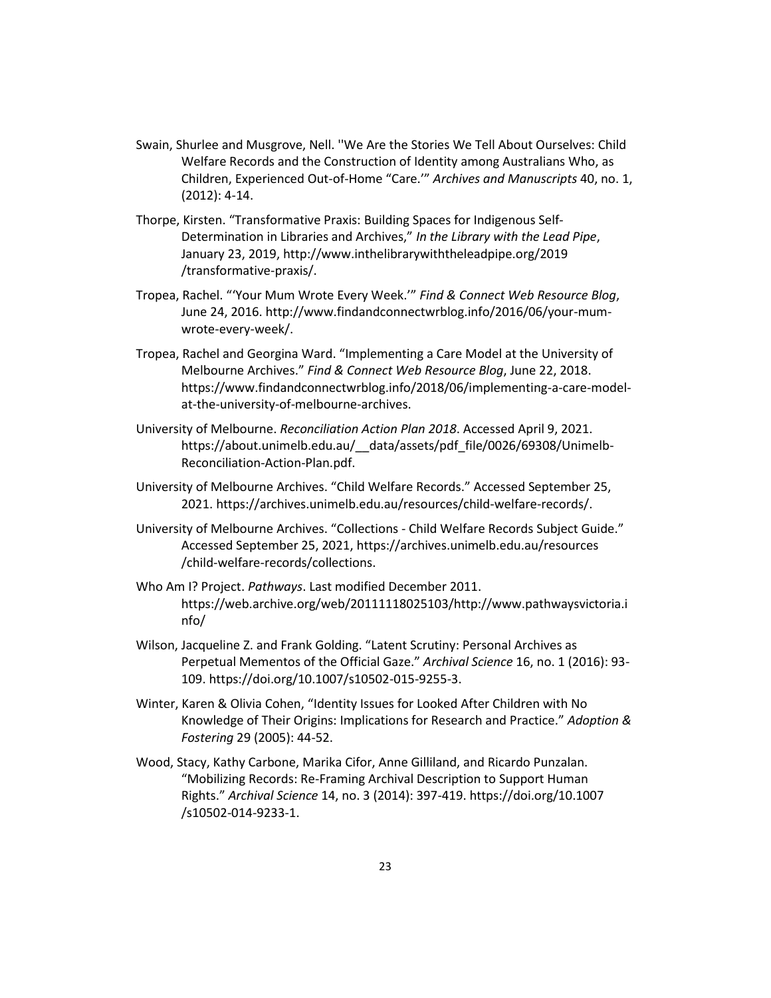- Swain, Shurlee and Musgrove, Nell. ''We Are the Stories We Tell About Ourselves: Child Welfare Records and the Construction of Identity among Australians Who, as Children, Experienced Out-of-Home "Care.'" *Archives and Manuscripts* 40, no. 1, (2012): 4-14.
- Thorpe, Kirsten. "Transformative Praxis: Building Spaces for Indigenous Self-Determination in Libraries and Archives," *In the Library with the Lead Pipe*, January 23, 2019, http://www.inthelibrarywiththeleadpipe.org/2019 /transformative-praxis/.
- Tropea, Rachel. "'Your Mum Wrote Every Week.'" *Find & Connect Web Resource Blog*, June 24, 2016. http://www.findandconnectwrblog.info/2016/06/your-mumwrote-every-week/.
- Tropea, Rachel and Georgina Ward. "Implementing a Care Model at the University of Melbourne Archives." *Find & Connect Web Resource Blog*, June 22, 2018. https://www.findandconnectwrblog.info/2018/06/implementing-a-care-modelat-the-university-of-melbourne-archives.
- University of Melbourne. *Reconciliation Action Plan 2018*. Accessed April 9, 2021. https://about.unimelb.edu.au/\_\_data/assets/pdf\_file/0026/69308/Unimelb-Reconciliation-Action-Plan.pdf.
- University of Melbourne Archives. "Child Welfare Records." Accessed September 25, 2021. https://archives.unimelb.edu.au/resources/child-welfare-records/.
- University of Melbourne Archives. "Collections Child Welfare Records Subject Guide." Accessed September 25, 2021, https://archives.unimelb.edu.au/resources /child-welfare-records/collections.
- Who Am I? Project. *Pathways*. Last modified December 2011. https://web.archive.org/web/20111118025103/http://www.pathwaysvictoria.i nfo/
- Wilson, Jacqueline Z. and Frank Golding. "Latent Scrutiny: Personal Archives as Perpetual Mementos of the Official Gaze." *Archival Science* 16, no. 1 (2016): 93- 109. https://doi.org/10.1007/s10502-015-9255-3.
- Winter, Karen & Olivia Cohen, "Identity Issues for Looked After Children with No Knowledge of Their Origins: Implications for Research and Practice." *Adoption & Fostering* 29 (2005): 44-52.
- Wood, Stacy, Kathy Carbone, Marika Cifor, Anne Gilliland, and Ricardo Punzalan. "Mobilizing Records: Re-Framing Archival Description to Support Human Rights." *Archival Science* 14, no. 3 (2014): 397-419. https://doi.org/10.1007 /s10502-014-9233-1.